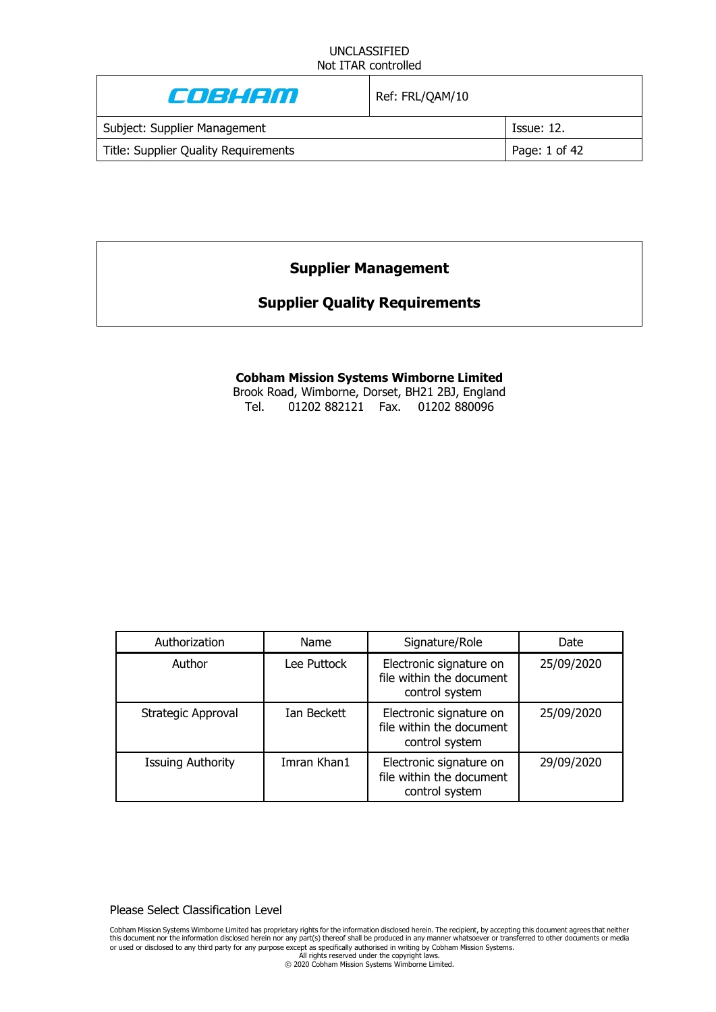| Enskem                               | Ref: FRL/QAM/10 |                   |
|--------------------------------------|-----------------|-------------------|
| Subject: Supplier Management         |                 | <b>Issue: 12.</b> |
| Title: Supplier Quality Requirements |                 | Page: 1 of 42     |

# **Supplier Management**

# **Supplier Quality Requirements**

# **Cobham Mission Systems Wimborne Limited**

Brook Road, Wimborne, Dorset, BH21 2BJ, England Tel. 01202 882121 Fax. 01202 880096

| Authorization            | Name        | Signature/Role                                                        | Date       |
|--------------------------|-------------|-----------------------------------------------------------------------|------------|
| Author                   | Lee Puttock | Electronic signature on<br>file within the document<br>control system | 25/09/2020 |
| Strategic Approval       | Ian Beckett | Electronic signature on<br>file within the document<br>control system | 25/09/2020 |
| <b>Issuing Authority</b> | Imran Khan1 | Electronic signature on<br>file within the document<br>control system | 29/09/2020 |

Please Select Classification Level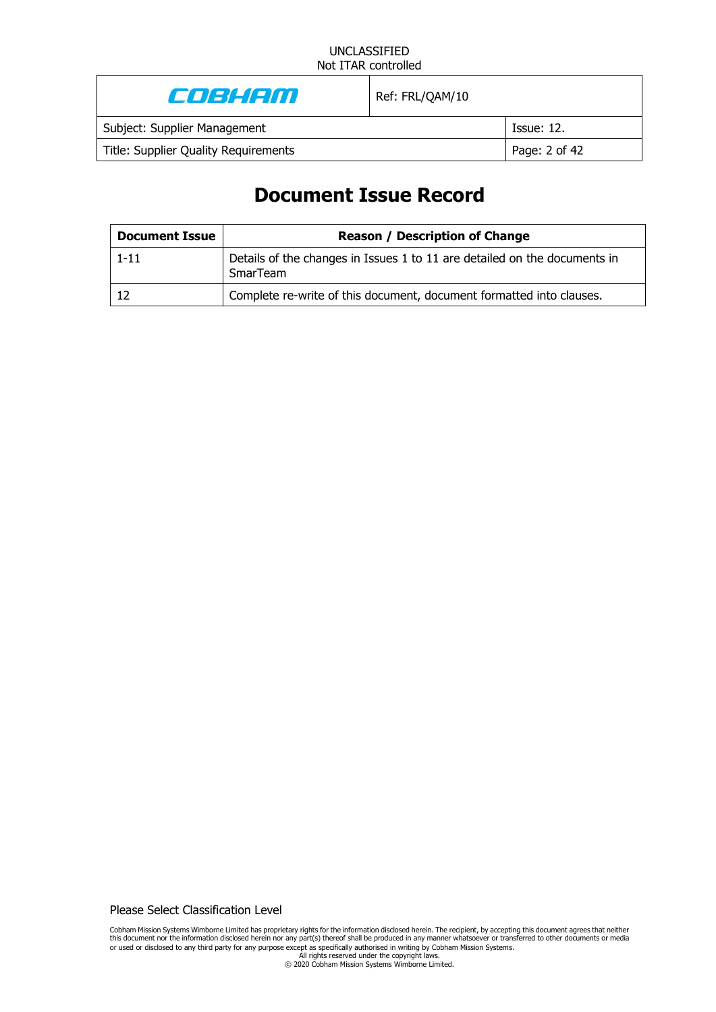| Enskem                               | Ref: FRL/QAM/10 |                   |
|--------------------------------------|-----------------|-------------------|
| Subject: Supplier Management         |                 | <b>Issue: 12.</b> |
| Title: Supplier Quality Requirements |                 | Page: 2 of 42     |
|                                      |                 |                   |

# **Document Issue Record**

| <b>Document Issue</b> | <b>Reason / Description of Change</b>                                                 |  |
|-----------------------|---------------------------------------------------------------------------------------|--|
| $1 - 11$              | Details of the changes in Issues 1 to 11 are detailed on the documents in<br>SmarTeam |  |
|                       | Complete re-write of this document, document formatted into clauses.                  |  |

Please Select Classification Level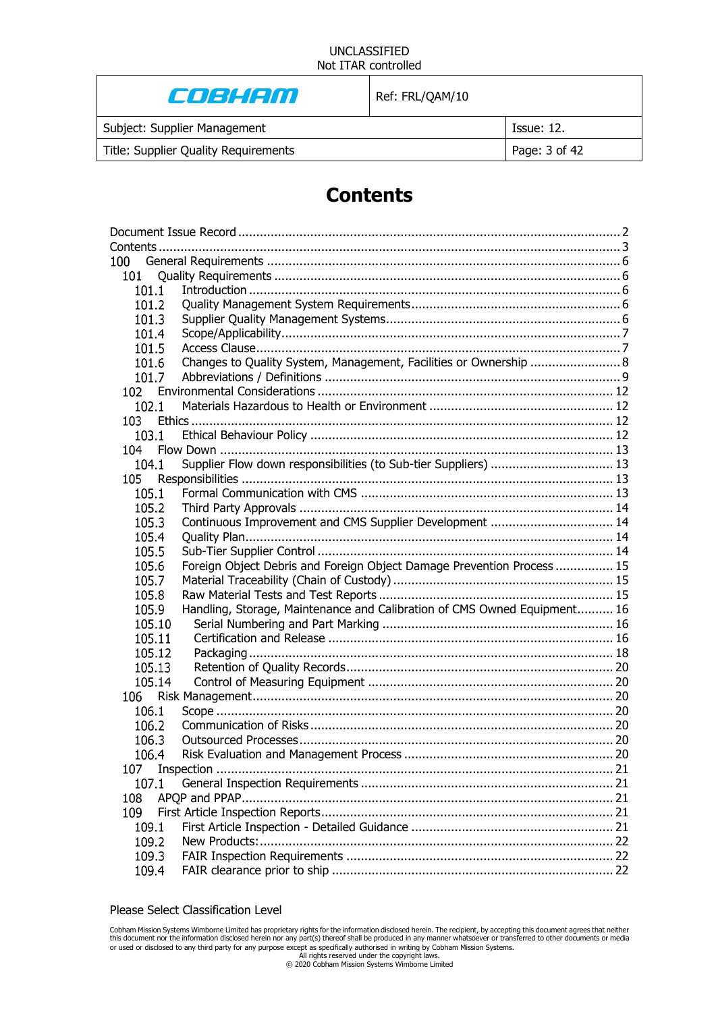# COBHAM

Ref: FRL/QAM/10

Subject: Supplier Management **Issue: 12.** Issue: 12.

Title: Supplier Quality Requirements **Page: 3 of 42** 

# **Contents**

| 100    |                                                                          |  |
|--------|--------------------------------------------------------------------------|--|
| 101    |                                                                          |  |
| 101.1  |                                                                          |  |
| 101.2  |                                                                          |  |
| 101.3  |                                                                          |  |
| 101.4  |                                                                          |  |
| 101.5  |                                                                          |  |
| 101.6  | Changes to Quality System, Management, Facilities or Ownership  8        |  |
| 101.7  |                                                                          |  |
| 102    |                                                                          |  |
| 102.1  |                                                                          |  |
| 103    |                                                                          |  |
| 103.1  |                                                                          |  |
| 104 -  |                                                                          |  |
| 104.1  | Supplier Flow down responsibilities (to Sub-tier Suppliers)  13          |  |
| 105    |                                                                          |  |
| 105.1  |                                                                          |  |
| 105.2  |                                                                          |  |
| 105.3  | Continuous Improvement and CMS Supplier Development  14                  |  |
| 105.4  |                                                                          |  |
| 105.5  |                                                                          |  |
| 105.6  | Foreign Object Debris and Foreign Object Damage Prevention Process  15   |  |
| 105.7  |                                                                          |  |
| 105.8  |                                                                          |  |
| 105.9  | Handling, Storage, Maintenance and Calibration of CMS Owned Equipment 16 |  |
| 105.10 |                                                                          |  |
| 105.11 |                                                                          |  |
| 105.12 |                                                                          |  |
| 105.13 |                                                                          |  |
| 105.14 |                                                                          |  |
|        |                                                                          |  |
| 106.1  |                                                                          |  |
| 106.2  |                                                                          |  |
| 106.3  |                                                                          |  |
| 106.4  |                                                                          |  |
| 107    |                                                                          |  |
| 107.1  |                                                                          |  |
| 108    |                                                                          |  |
| 109    |                                                                          |  |
| 109.1  |                                                                          |  |
| 109.2  |                                                                          |  |
| 109.3  |                                                                          |  |
| 109.4  |                                                                          |  |

#### Please Select Classification Level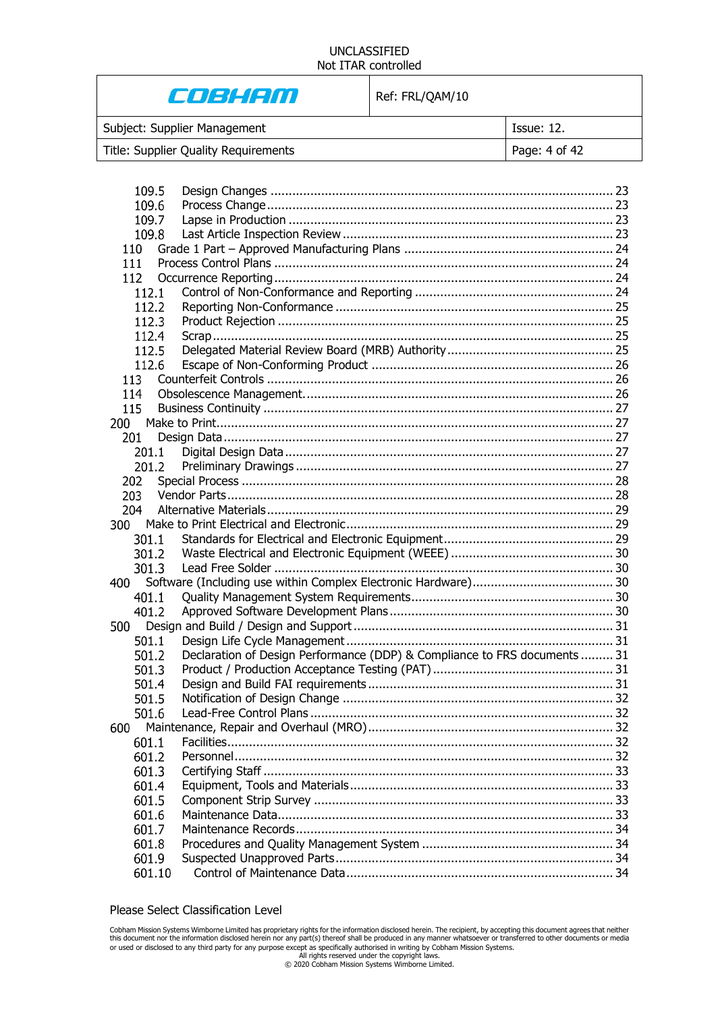# COBHAM

Ref: FRL/QAM/10

| Subject: Supplier Management         | Issue: 12.    |
|--------------------------------------|---------------|
| Title: Supplier Quality Requirements | Page: 4 of 42 |

| 109.5      |                                                                           |  |
|------------|---------------------------------------------------------------------------|--|
| 109.6      |                                                                           |  |
| 109.7      |                                                                           |  |
| 109.8      |                                                                           |  |
| 110        |                                                                           |  |
| 111        |                                                                           |  |
| 112        |                                                                           |  |
| 112.1      |                                                                           |  |
| 112.2      |                                                                           |  |
| 112.3      |                                                                           |  |
| 112.4      |                                                                           |  |
| 112.5      |                                                                           |  |
| 112.6      |                                                                           |  |
| 113        |                                                                           |  |
| 114        |                                                                           |  |
| 115        |                                                                           |  |
| 200        |                                                                           |  |
| 201        |                                                                           |  |
| 201.1      |                                                                           |  |
| 201.2      |                                                                           |  |
| 202        |                                                                           |  |
| 203        |                                                                           |  |
| 204        |                                                                           |  |
| <b>300</b> |                                                                           |  |
|            |                                                                           |  |
| 301.1      |                                                                           |  |
| 301.2      |                                                                           |  |
| 301.3      |                                                                           |  |
| 400        |                                                                           |  |
| 401.1      |                                                                           |  |
| 401.2      |                                                                           |  |
|            |                                                                           |  |
| 501.1      |                                                                           |  |
| 501.2      | Declaration of Design Performance (DDP) & Compliance to FRS documents  31 |  |
| 501.3      |                                                                           |  |
| 501.4      |                                                                           |  |
| 501.5      |                                                                           |  |
| 501.6      |                                                                           |  |
| 600        |                                                                           |  |
| 601.1      |                                                                           |  |
| 601.2      |                                                                           |  |
| 601.3      |                                                                           |  |
| 601.4      |                                                                           |  |
| 601.5      |                                                                           |  |
| 601.6      |                                                                           |  |
| 601.7      |                                                                           |  |
| 601.8      |                                                                           |  |
| 601.9      |                                                                           |  |
| 601.10     |                                                                           |  |
|            |                                                                           |  |

#### Please Select Classification Level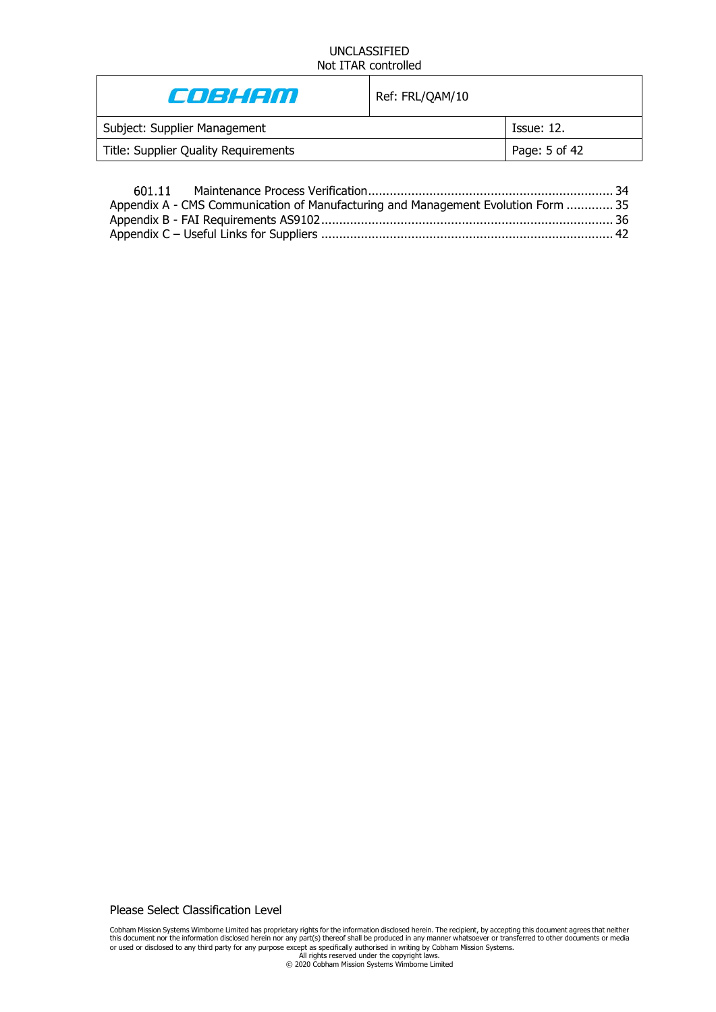| E JEHEM                              | Ref: FRL/QAM/10 |               |
|--------------------------------------|-----------------|---------------|
| Subject: Supplier Management         |                 | Tssue: 12.    |
| Title: Supplier Quality Requirements |                 | Page: 5 of 42 |
|                                      |                 |               |

| Appendix A - CMS Communication of Manufacturing and Management Evolution Form  35 |  |
|-----------------------------------------------------------------------------------|--|
|                                                                                   |  |
|                                                                                   |  |

Please Select Classification Level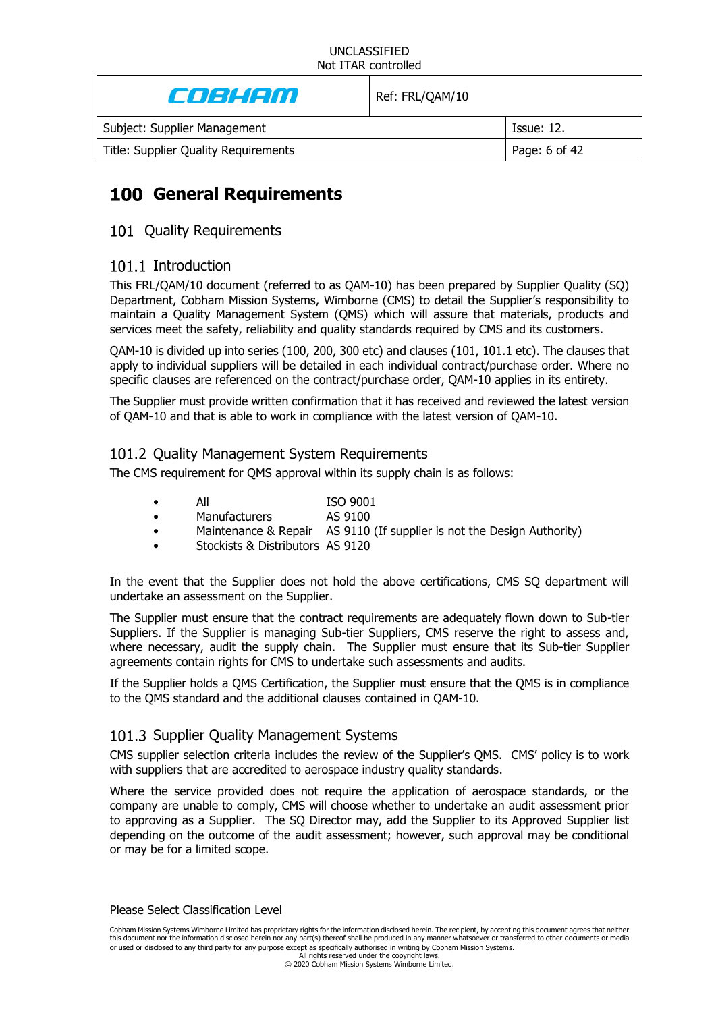| Cost Con                             | Ref: FRL/QAM/10 |                   |
|--------------------------------------|-----------------|-------------------|
| Subject: Supplier Management         |                 | <b>Issue: 12.</b> |
| Title: Supplier Quality Requirements |                 | Page: 6 of 42     |
|                                      |                 |                   |

# **General Requirements**

# 101 Quality Requirements

# 101.1 Introduction

This FRL/QAM/10 document (referred to as QAM-10) has been prepared by Supplier Quality (SQ) Department, Cobham Mission Systems, Wimborne (CMS) to detail the Supplier's responsibility to maintain a Quality Management System (QMS) which will assure that materials, products and services meet the safety, reliability and quality standards required by CMS and its customers.

QAM-10 is divided up into series (100, 200, 300 etc) and clauses (101, 101.1 etc). The clauses that apply to individual suppliers will be detailed in each individual contract/purchase order. Where no specific clauses are referenced on the contract/purchase order, QAM-10 applies in its entirety.

The Supplier must provide written confirmation that it has received and reviewed the latest version of QAM-10 and that is able to work in compliance with the latest version of QAM-10.

# 101.2 Ouality Management System Requirements

The CMS requirement for QMS approval within its supply chain is as follows:

- All ISO 9001
	- Manufacturers AS 9100
- Maintenance & Repair AS 9110 (If supplier is not the Design Authority)
- Stockists & Distributors AS 9120

In the event that the Supplier does not hold the above certifications, CMS SQ department will undertake an assessment on the Supplier.

The Supplier must ensure that the contract requirements are adequately flown down to Sub-tier Suppliers. If the Supplier is managing Sub-tier Suppliers, CMS reserve the right to assess and, where necessary, audit the supply chain. The Supplier must ensure that its Sub-tier Supplier agreements contain rights for CMS to undertake such assessments and audits.

If the Supplier holds a QMS Certification, the Supplier must ensure that the QMS is in compliance to the QMS standard and the additional clauses contained in QAM-10.

# 101.3 Supplier Quality Management Systems

CMS supplier selection criteria includes the review of the Supplier's QMS. CMS' policy is to work with suppliers that are accredited to aerospace industry quality standards.

Where the service provided does not require the application of aerospace standards, or the company are unable to comply, CMS will choose whether to undertake an audit assessment prior to approving as a Supplier. The SQ Director may, add the Supplier to its Approved Supplier list depending on the outcome of the audit assessment; however, such approval may be conditional or may be for a limited scope.

#### Please Select Classification Level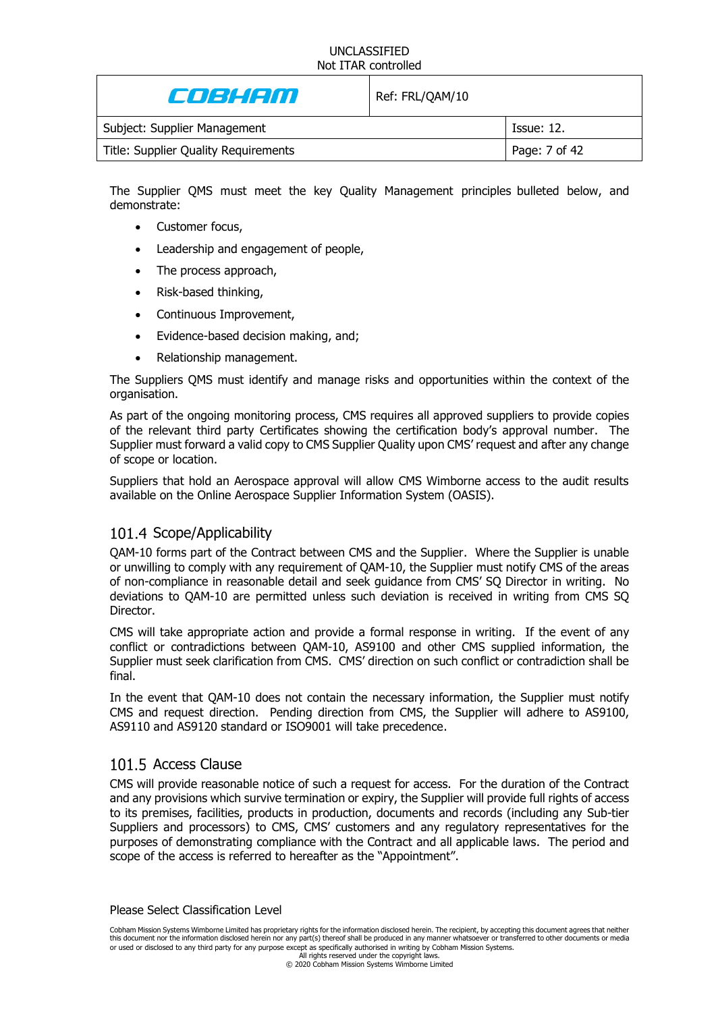| E JEHEM                              | Ref: FRL/QAM/10 |               |
|--------------------------------------|-----------------|---------------|
| Subject: Supplier Management         |                 | Tssue: 12.    |
| Title: Supplier Quality Requirements |                 | Page: 7 of 42 |

The Supplier QMS must meet the key Quality Management principles bulleted below, and demonstrate:

- Customer focus,
- Leadership and engagement of people,
- The process approach,
- Risk-based thinking,
- Continuous Improvement,
- Evidence-based decision making, and;
- Relationship management.

The Suppliers QMS must identify and manage risks and opportunities within the context of the organisation.

As part of the ongoing monitoring process, CMS requires all approved suppliers to provide copies of the relevant third party Certificates showing the certification body's approval number. The Supplier must forward a valid copy to CMS Supplier Quality upon CMS' request and after any change of scope or location.

Suppliers that hold an Aerospace approval will allow CMS Wimborne access to the audit results available on the Online Aerospace Supplier Information System (OASIS).

### 101.4 Scope/Applicability

QAM-10 forms part of the Contract between CMS and the Supplier. Where the Supplier is unable or unwilling to comply with any requirement of QAM-10, the Supplier must notify CMS of the areas of non-compliance in reasonable detail and seek guidance from CMS' SQ Director in writing. No deviations to QAM-10 are permitted unless such deviation is received in writing from CMS SQ Director.

CMS will take appropriate action and provide a formal response in writing. If the event of any conflict or contradictions between QAM-10, AS9100 and other CMS supplied information, the Supplier must seek clarification from CMS. CMS' direction on such conflict or contradiction shall be final.

In the event that QAM-10 does not contain the necessary information, the Supplier must notify CMS and request direction. Pending direction from CMS, the Supplier will adhere to AS9100, AS9110 and AS9120 standard or ISO9001 will take precedence.

### 101.5 Access Clause

CMS will provide reasonable notice of such a request for access. For the duration of the Contract and any provisions which survive termination or expiry, the Supplier will provide full rights of access to its premises, facilities, products in production, documents and records (including any Sub-tier Suppliers and processors) to CMS, CMS' customers and any regulatory representatives for the purposes of demonstrating compliance with the Contract and all applicable laws. The period and scope of the access is referred to hereafter as the "Appointment".

Please Select Classification Level

Cobham Mission Systems Wimborne Limited has proprietary rights for the information disclosed herein. The recipient, by accepting this document agrees that neither this document nor the information disclosed herein nor any part(s) thereof shall be produced in any manner whatsoever or transferred to other documents or media or used or disclosed to any third party for any purpose except as specifically authorised in writing by Cobham Mission Systems.

All rights reserved under the copyright laws. © 2020 Cobham Mission Systems Wimborne Limited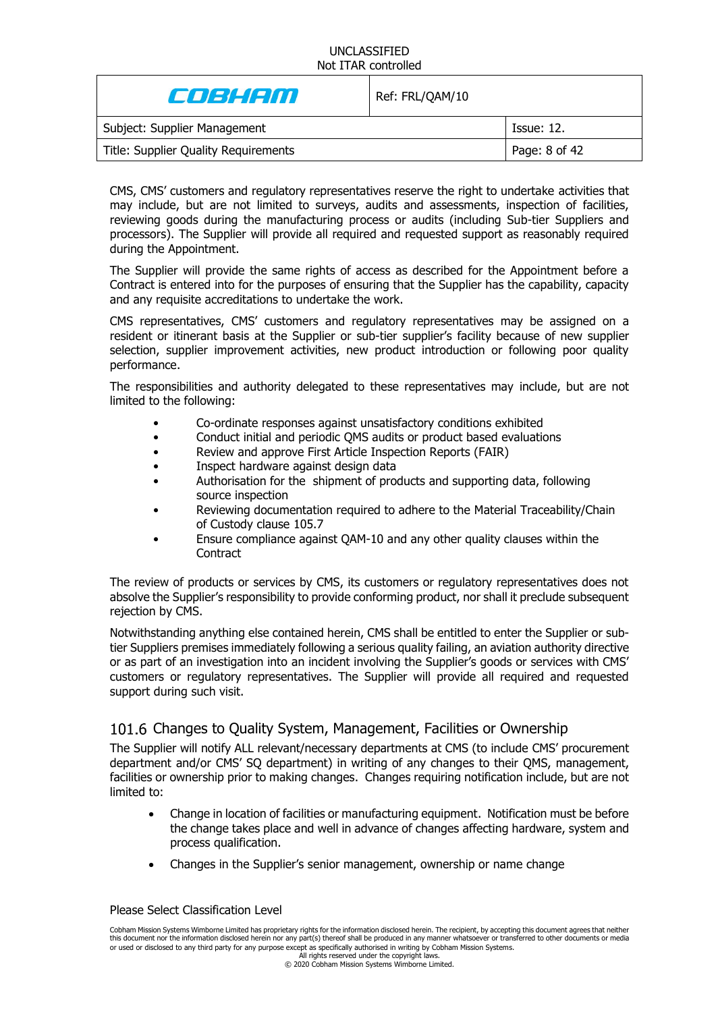| E JE HETTI                           | Ref: FRL/QAM/10 |               |
|--------------------------------------|-----------------|---------------|
| Subject: Supplier Management         |                 | Tssue: 12.    |
| Title: Supplier Quality Requirements |                 | Page: 8 of 42 |

CMS, CMS' customers and regulatory representatives reserve the right to undertake activities that may include, but are not limited to surveys, audits and assessments, inspection of facilities, reviewing goods during the manufacturing process or audits (including Sub-tier Suppliers and processors). The Supplier will provide all required and requested support as reasonably required during the Appointment.

The Supplier will provide the same rights of access as described for the Appointment before a Contract is entered into for the purposes of ensuring that the Supplier has the capability, capacity and any requisite accreditations to undertake the work.

CMS representatives, CMS' customers and regulatory representatives may be assigned on a resident or itinerant basis at the Supplier or sub-tier supplier's facility because of new supplier selection, supplier improvement activities, new product introduction or following poor quality performance.

The responsibilities and authority delegated to these representatives may include, but are not limited to the following:

- Co-ordinate responses against unsatisfactory conditions exhibited
- Conduct initial and periodic QMS audits or product based evaluations
- Review and approve First Article Inspection Reports (FAIR)
- Inspect hardware against design data
- Authorisation for the shipment of products and supporting data, following source inspection
- Reviewing documentation required to adhere to the Material Traceability/Chain of Custody clause [105.7](#page-14-0)
- Ensure compliance against QAM-10 and any other quality clauses within the **Contract**

The review of products or services by CMS, its customers or regulatory representatives does not absolve the Supplier's responsibility to provide conforming product, nor shall it preclude subsequent rejection by CMS.

Notwithstanding anything else contained herein, CMS shall be entitled to enter the Supplier or subtier Suppliers premises immediately following a serious quality failing, an aviation authority directive or as part of an investigation into an incident involving the Supplier's goods or services with CMS' customers or regulatory representatives. The Supplier will provide all required and requested support during such visit.

# 101.6 Changes to Quality System, Management, Facilities or Ownership

The Supplier will notify ALL relevant/necessary departments at CMS (to include CMS' procurement department and/or CMS' SQ department) in writing of any changes to their QMS, management, facilities or ownership prior to making changes. Changes requiring notification include, but are not limited to:

- Change in location of facilities or manufacturing equipment. Notification must be before the change takes place and well in advance of changes affecting hardware, system and process qualification.
- Changes in the Supplier's senior management, ownership or name change

#### Please Select Classification Level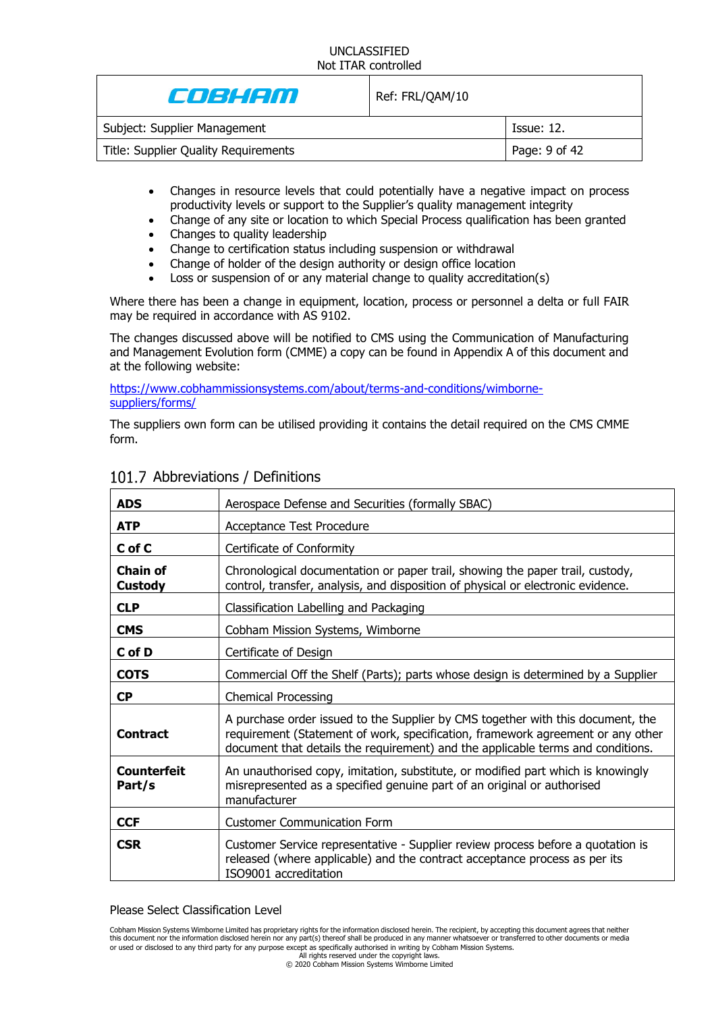| e de la com                          | Ref: FRL/QAM/10 |               |
|--------------------------------------|-----------------|---------------|
| Subject: Supplier Management         |                 | Tssue: 12.    |
| Title: Supplier Quality Requirements |                 | Page: 9 of 42 |
|                                      |                 |               |

- Changes in resource levels that could potentially have a negative impact on process productivity levels or support to the Supplier's quality management integrity
- Change of any site or location to which Special Process qualification has been granted
- Changes to quality leadership
- Change to certification status including suspension or withdrawal
- Change of holder of the design authority or design office location
- Loss or suspension of or any material change to quality accreditation(s)

Where there has been a change in equipment, location, process or personnel a delta or full FAIR may be required in accordance with AS 9102.

The changes discussed above will be notified to CMS using the Communication of Manufacturing and Management Evolution form (CMME) a copy can be found in Appendix A of this document and at the following website:

[https://www.cobhammissionsystems.com/about/terms-and-conditions/wimborne](https://www.cobhammissionsystems.com/about/terms-and-conditions/wimborne-suppliers/forms/)[suppliers/forms/](https://www.cobhammissionsystems.com/about/terms-and-conditions/wimborne-suppliers/forms/)

The suppliers own form can be utilised providing it contains the detail required on the CMS CMME form.

| <b>ADS</b>                        | Aerospace Defense and Securities (formally SBAC)                                                                                                                                                                                                      |
|-----------------------------------|-------------------------------------------------------------------------------------------------------------------------------------------------------------------------------------------------------------------------------------------------------|
| <b>ATP</b>                        | Acceptance Test Procedure                                                                                                                                                                                                                             |
| C of C                            | Certificate of Conformity                                                                                                                                                                                                                             |
| <b>Chain of</b><br><b>Custody</b> | Chronological documentation or paper trail, showing the paper trail, custody,<br>control, transfer, analysis, and disposition of physical or electronic evidence.                                                                                     |
| <b>CLP</b>                        | Classification Labelling and Packaging                                                                                                                                                                                                                |
| <b>CMS</b>                        | Cobham Mission Systems, Wimborne                                                                                                                                                                                                                      |
| C of D                            | Certificate of Design                                                                                                                                                                                                                                 |
| <b>COTS</b>                       | Commercial Off the Shelf (Parts); parts whose design is determined by a Supplier                                                                                                                                                                      |
| <b>CP</b>                         | <b>Chemical Processing</b>                                                                                                                                                                                                                            |
| <b>Contract</b>                   | A purchase order issued to the Supplier by CMS together with this document, the<br>requirement (Statement of work, specification, framework agreement or any other<br>document that details the requirement) and the applicable terms and conditions. |
| <b>Counterfeit</b><br>Part/s      | An unauthorised copy, imitation, substitute, or modified part which is knowingly<br>misrepresented as a specified genuine part of an original or authorised<br>manufacturer                                                                           |
| <b>CCF</b>                        | <b>Customer Communication Form</b>                                                                                                                                                                                                                    |
| <b>CSR</b>                        | Customer Service representative - Supplier review process before a quotation is<br>released (where applicable) and the contract acceptance process as per its<br>ISO9001 accreditation                                                                |

# 101.7 Abbreviations / Definitions

#### Please Select Classification Level

Cobham Mission Systems Wimborne Limited has proprietary rights for the information disclosed herein. The recipient, by accepting this document agrees that neither<br>this document nor the information disclosed herein nor any or used or disclosed to any third party for any purpose except as specifically authorised in writing by Cobham Mission Systems.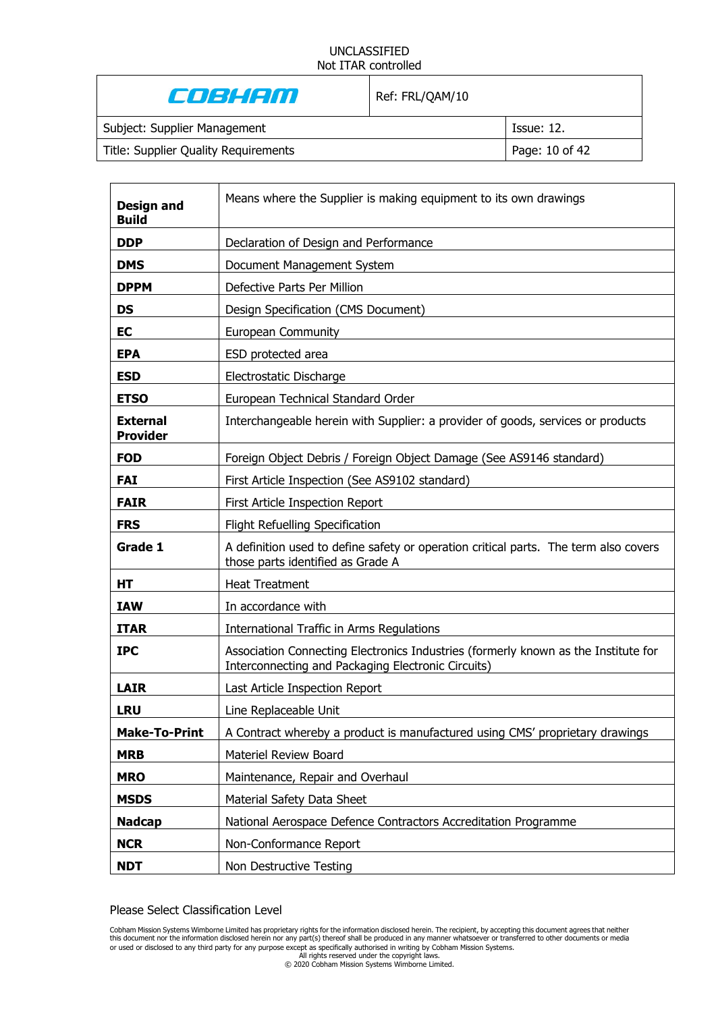| E JE HETTI                           | Ref: FRL/QAM/10 |                   |
|--------------------------------------|-----------------|-------------------|
| Subject: Supplier Management         |                 | <b>Issue: 12.</b> |
| Title: Supplier Quality Requirements |                 | Page: 10 of 42    |
|                                      |                 |                   |

| <b>Design and</b><br><b>Build</b>  | Means where the Supplier is making equipment to its own drawings                                                                         |
|------------------------------------|------------------------------------------------------------------------------------------------------------------------------------------|
| <b>DDP</b>                         | Declaration of Design and Performance                                                                                                    |
| <b>DMS</b>                         | Document Management System                                                                                                               |
| <b>DPPM</b>                        | Defective Parts Per Million                                                                                                              |
| <b>DS</b>                          | Design Specification (CMS Document)                                                                                                      |
| <b>EC</b>                          | <b>European Community</b>                                                                                                                |
| <b>EPA</b>                         | ESD protected area                                                                                                                       |
| <b>ESD</b>                         | Electrostatic Discharge                                                                                                                  |
| <b>ETSO</b>                        | European Technical Standard Order                                                                                                        |
| <b>External</b><br><b>Provider</b> | Interchangeable herein with Supplier: a provider of goods, services or products                                                          |
| <b>FOD</b>                         | Foreign Object Debris / Foreign Object Damage (See AS9146 standard)                                                                      |
| <b>FAI</b>                         | First Article Inspection (See AS9102 standard)                                                                                           |
| <b>FAIR</b>                        | First Article Inspection Report                                                                                                          |
| <b>FRS</b>                         | Flight Refuelling Specification                                                                                                          |
| Grade 1                            | A definition used to define safety or operation critical parts. The term also covers<br>those parts identified as Grade A                |
| HT                                 | <b>Heat Treatment</b>                                                                                                                    |
| <b>IAW</b>                         | In accordance with                                                                                                                       |
| <b>ITAR</b>                        | International Traffic in Arms Regulations                                                                                                |
| <b>IPC</b>                         | Association Connecting Electronics Industries (formerly known as the Institute for<br>Interconnecting and Packaging Electronic Circuits) |
| <b>LAIR</b>                        | Last Article Inspection Report                                                                                                           |
| <b>LRU</b>                         | Line Replaceable Unit                                                                                                                    |
| <b>Make-To-Print</b>               | A Contract whereby a product is manufactured using CMS' proprietary drawings                                                             |
| <b>MRB</b>                         | Materiel Review Board                                                                                                                    |
| <b>MRO</b>                         | Maintenance, Repair and Overhaul                                                                                                         |
| <b>MSDS</b>                        | Material Safety Data Sheet                                                                                                               |
| <b>Nadcap</b>                      | National Aerospace Defence Contractors Accreditation Programme                                                                           |
| <b>NCR</b>                         | Non-Conformance Report                                                                                                                   |
| <b>NDT</b>                         | Non Destructive Testing                                                                                                                  |

Please Select Classification Level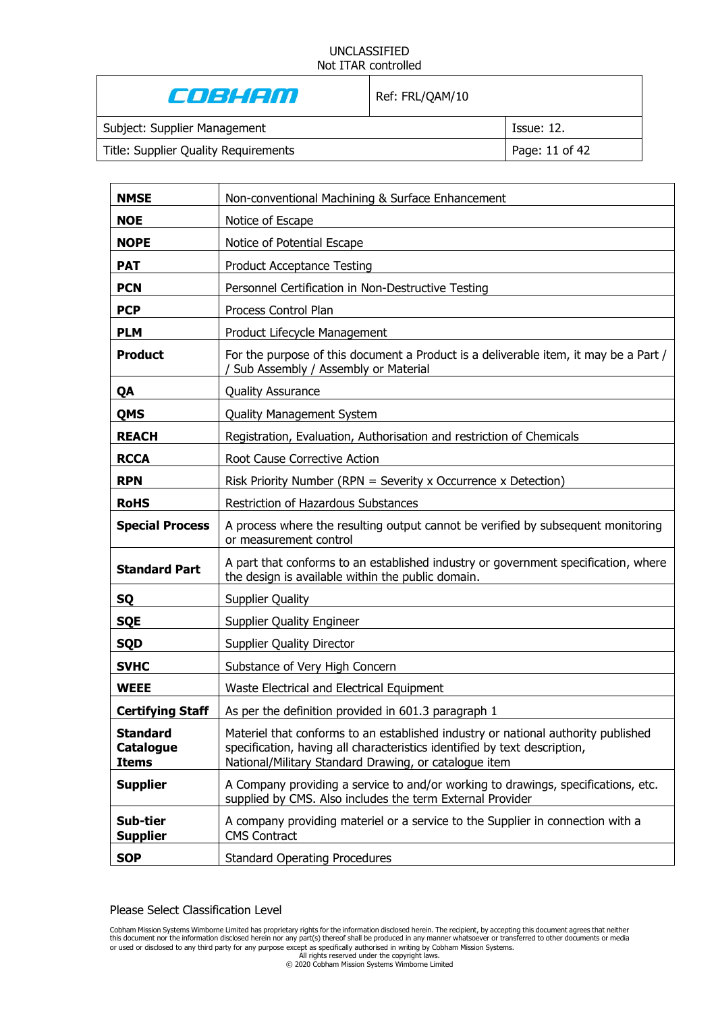#### UNCLASSIFIED Not ITAR controlled  $\mathbf{I}$

| Cost con                             | Ref: FRL/QAM/10 |                   |
|--------------------------------------|-----------------|-------------------|
| Subject: Supplier Management         |                 | <b>Issue: 12.</b> |
| Title: Supplier Quality Requirements |                 | Page: 11 of 42    |

| <b>NMSE</b>                                         | Non-conventional Machining & Surface Enhancement                                                                                                                                                                        |
|-----------------------------------------------------|-------------------------------------------------------------------------------------------------------------------------------------------------------------------------------------------------------------------------|
| <b>NOE</b>                                          | Notice of Escape                                                                                                                                                                                                        |
| <b>NOPE</b>                                         | Notice of Potential Escape                                                                                                                                                                                              |
| <b>PAT</b>                                          | <b>Product Acceptance Testing</b>                                                                                                                                                                                       |
| <b>PCN</b>                                          | Personnel Certification in Non-Destructive Testing                                                                                                                                                                      |
| <b>PCP</b>                                          | Process Control Plan                                                                                                                                                                                                    |
| <b>PLM</b>                                          | Product Lifecycle Management                                                                                                                                                                                            |
| <b>Product</b>                                      | For the purpose of this document a Product is a deliverable item, it may be a Part /<br>Sub Assembly / Assembly or Material                                                                                             |
| QA                                                  | <b>Quality Assurance</b>                                                                                                                                                                                                |
| <b>QMS</b>                                          | <b>Quality Management System</b>                                                                                                                                                                                        |
| <b>REACH</b>                                        | Registration, Evaluation, Authorisation and restriction of Chemicals                                                                                                                                                    |
| <b>RCCA</b>                                         | Root Cause Corrective Action                                                                                                                                                                                            |
| <b>RPN</b>                                          | Risk Priority Number (RPN = Severity x Occurrence x Detection)                                                                                                                                                          |
| <b>RoHS</b>                                         | <b>Restriction of Hazardous Substances</b>                                                                                                                                                                              |
| <b>Special Process</b>                              | A process where the resulting output cannot be verified by subsequent monitoring<br>or measurement control                                                                                                              |
| <b>Standard Part</b>                                | A part that conforms to an established industry or government specification, where<br>the design is available within the public domain.                                                                                 |
| <b>SQ</b>                                           | <b>Supplier Quality</b>                                                                                                                                                                                                 |
| <b>SQE</b>                                          | <b>Supplier Quality Engineer</b>                                                                                                                                                                                        |
| <b>SQD</b>                                          | <b>Supplier Quality Director</b>                                                                                                                                                                                        |
| <b>SVHC</b>                                         | Substance of Very High Concern                                                                                                                                                                                          |
| <b>WEEE</b>                                         | Waste Electrical and Electrical Equipment                                                                                                                                                                               |
| <b>Certifying Staff</b>                             | As per the definition provided in 601.3 paragraph 1                                                                                                                                                                     |
| <b>Standard</b><br><b>Catalogue</b><br><b>Items</b> | Materiel that conforms to an established industry or national authority published<br>specification, having all characteristics identified by text description,<br>National/Military Standard Drawing, or catalogue item |
| <b>Supplier</b>                                     | A Company providing a service to and/or working to drawings, specifications, etc.<br>supplied by CMS. Also includes the term External Provider                                                                          |
| Sub-tier<br><b>Supplier</b>                         | A company providing materiel or a service to the Supplier in connection with a<br><b>CMS Contract</b>                                                                                                                   |
| <b>SOP</b>                                          | <b>Standard Operating Procedures</b>                                                                                                                                                                                    |

Please Select Classification Level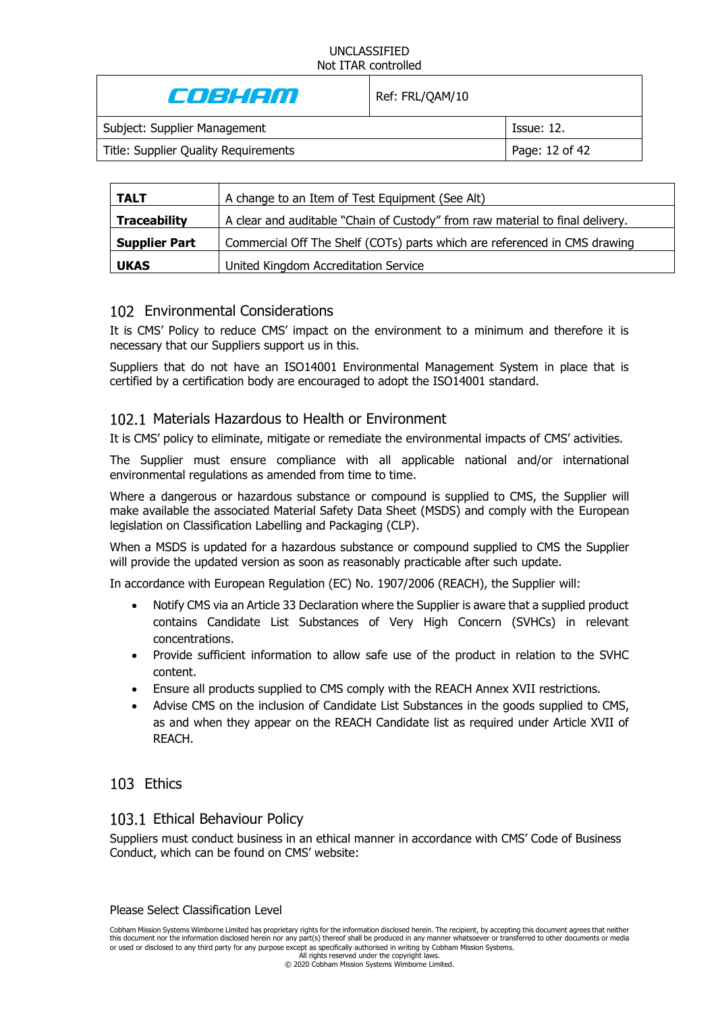| e de la com                          | Ref: FRL/QAM/10 |                   |
|--------------------------------------|-----------------|-------------------|
| Subject: Supplier Management         |                 | <b>Issue: 12.</b> |
| Title: Supplier Quality Requirements |                 | Page: 12 of 42    |
|                                      |                 |                   |

| <b>TALT</b>          | A change to an Item of Test Equipment (See Alt)                               |
|----------------------|-------------------------------------------------------------------------------|
| <b>Traceability</b>  | A clear and auditable "Chain of Custody" from raw material to final delivery. |
| <b>Supplier Part</b> | Commercial Off The Shelf (COTs) parts which are referenced in CMS drawing     |
| <b>UKAS</b>          | United Kingdom Accreditation Service                                          |

# 102 Environmental Considerations

It is CMS' Policy to reduce CMS' impact on the environment to a minimum and therefore it is necessary that our Suppliers support us in this.

Suppliers that do not have an ISO14001 Environmental Management System in place that is certified by a certification body are encouraged to adopt the ISO14001 standard.

### 102.1 Materials Hazardous to Health or Environment

It is CMS' policy to eliminate, mitigate or remediate the environmental impacts of CMS' activities.

The Supplier must ensure compliance with all applicable national and/or international environmental regulations as amended from time to time.

Where a dangerous or hazardous substance or compound is supplied to CMS, the Supplier will make available the associated Material Safety Data Sheet (MSDS) and comply with the European legislation on Classification Labelling and Packaging (CLP).

When a MSDS is updated for a hazardous substance or compound supplied to CMS the Supplier will provide the updated version as soon as reasonably practicable after such update.

In accordance with European Regulation (EC) No. 1907/2006 (REACH), the Supplier will:

- Notify CMS via an Article 33 Declaration where the Supplier is aware that a supplied product contains Candidate List Substances of Very High Concern (SVHCs) in relevant concentrations.
- Provide sufficient information to allow safe use of the product in relation to the SVHC content.
- Ensure all products supplied to CMS comply with the REACH Annex XVII restrictions.
- Advise CMS on the inclusion of Candidate List Substances in the goods supplied to CMS, as and when they appear on the REACH Candidate list as required under Article XVII of REACH.

# 103 Ethics

### 103.1 Ethical Behaviour Policy

Suppliers must conduct business in an ethical manner in accordance with CMS' Code of Business Conduct, which can be found on CMS' website: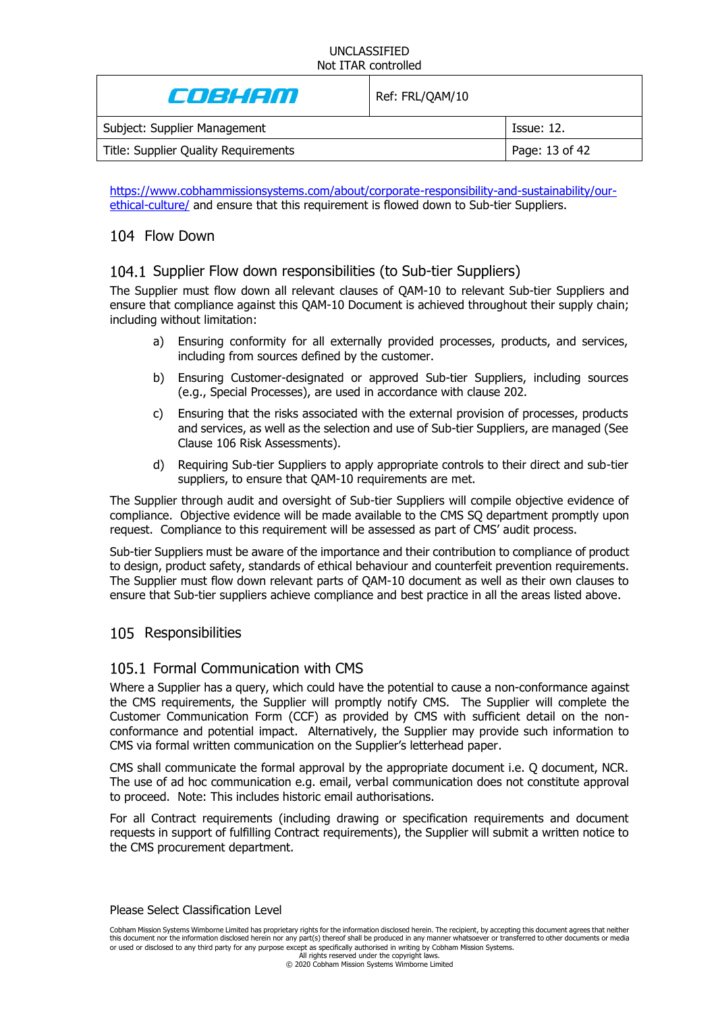| Ref: FRL/QAM/10 |                |
|-----------------|----------------|
|                 | Tssue: 12.     |
|                 | Page: 13 of 42 |
|                 |                |

[https://www.cobhammissionsystems.com/about/corporate-responsibility-and-sustainability/our](https://www.cobhammissionsystems.com/about/corporate-responsibility-and-sustainability/our-ethical-culture/)[ethical-culture/](https://www.cobhammissionsystems.com/about/corporate-responsibility-and-sustainability/our-ethical-culture/) and ensure that this requirement is flowed down to Sub-tier Suppliers.

# 104 Flow Down

### 104.1 Supplier Flow down responsibilities (to Sub-tier Suppliers)

The Supplier must flow down all relevant clauses of QAM-10 to relevant Sub-tier Suppliers and ensure that compliance against this QAM-10 Document is achieved throughout their supply chain; including without limitation:

- a) Ensuring conformity for all externally provided processes, products, and services, including from sources defined by the customer.
- b) Ensuring Customer-designated or approved Sub-tier Suppliers, including sources (e.g., Special Processes), are used in accordance with clause [202.](#page-27-0)
- c) Ensuring that the risks associated with the external provision of processes, products and services, as well as the selection and use of Sub-tier Suppliers, are managed (See Clause [106](#page-19-0) Risk Assessments).
- d) Requiring Sub-tier Suppliers to apply appropriate controls to their direct and sub-tier suppliers, to ensure that QAM-10 requirements are met.

The Supplier through audit and oversight of Sub-tier Suppliers will compile objective evidence of compliance. Objective evidence will be made available to the CMS SQ department promptly upon request. Compliance to this requirement will be assessed as part of CMS' audit process.

Sub-tier Suppliers must be aware of the importance and their contribution to compliance of product to design, product safety, standards of ethical behaviour and counterfeit prevention requirements. The Supplier must flow down relevant parts of QAM-10 document as well as their own clauses to ensure that Sub-tier suppliers achieve compliance and best practice in all the areas listed above.

### 105 Responsibilities

### 105.1 Formal Communication with CMS

Where a Supplier has a query, which could have the potential to cause a non-conformance against the CMS requirements, the Supplier will promptly notify CMS. The Supplier will complete the Customer Communication Form (CCF) as provided by CMS with sufficient detail on the nonconformance and potential impact. Alternatively, the Supplier may provide such information to CMS via formal written communication on the Supplier's letterhead paper.

CMS shall communicate the formal approval by the appropriate document i.e. Q document, NCR. The use of ad hoc communication e.g. email, verbal communication does not constitute approval to proceed. Note: This includes historic email authorisations.

For all Contract requirements (including drawing or specification requirements and document requests in support of fulfilling Contract requirements), the Supplier will submit a written notice to the CMS procurement department.

#### Please Select Classification Level

Cobham Mission Systems Wimborne Limited has proprietary rights for the information disclosed herein. The recipient, by accepting this document agrees that neither this document nor the information disclosed herein nor any part(s) thereof shall be produced in any manner whatsoever or transferred to other documents or media or used or disclosed to any third party for any purpose except as specifically authorised in writing by Cobham Mission Systems.

All rights reserved under the copyright laws. © 2020 Cobham Mission Systems Wimborne Limited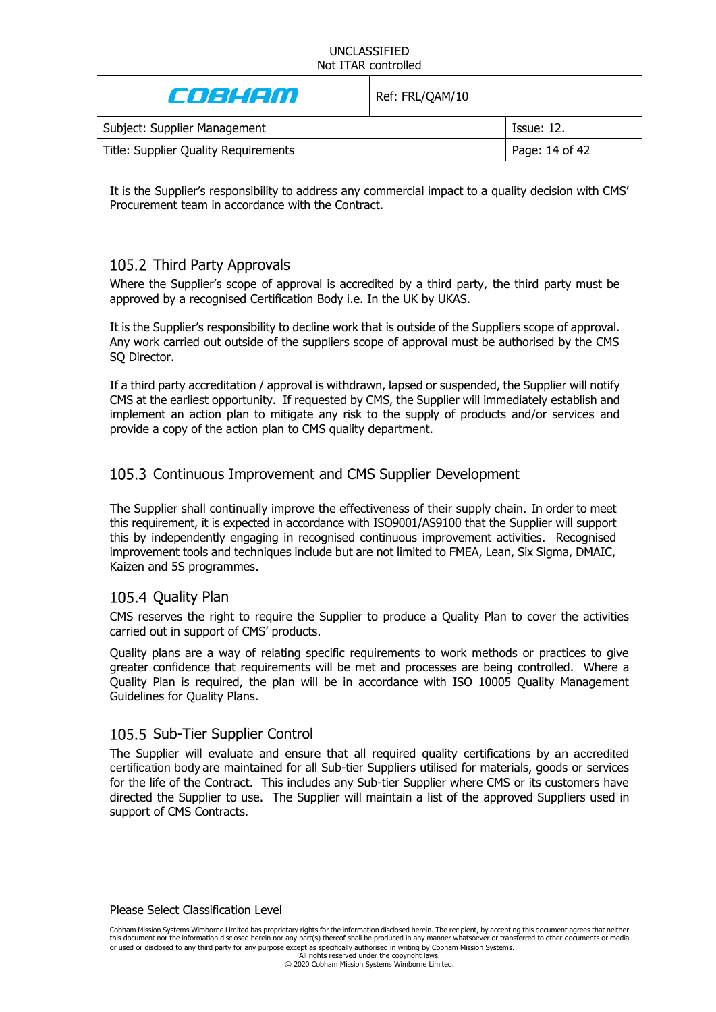| Coleight D                           | Ref: FRL/QAM/10 |                   |
|--------------------------------------|-----------------|-------------------|
| Subject: Supplier Management         |                 | <b>Issue: 12.</b> |
| Title: Supplier Quality Requirements |                 | Page: 14 of 42    |

It is the Supplier's responsibility to address any commercial impact to a quality decision with CMS' Procurement team in accordance with the Contract.

# 105.2 Third Party Approvals

Where the Supplier's scope of approval is accredited by a third party, the third party must be approved by a recognised Certification Body i.e. In the UK by UKAS.

It is the Supplier's responsibility to decline work that is outside of the Suppliers scope of approval. Any work carried out outside of the suppliers scope of approval must be authorised by the CMS SQ Director.

If a third party accreditation / approval is withdrawn, lapsed or suspended, the Supplier will notify CMS at the earliest opportunity. If requested by CMS, the Supplier will immediately establish and implement an action plan to mitigate any risk to the supply of products and/or services and provide a copy of the action plan to CMS quality department.

# 105.3 Continuous Improvement and CMS Supplier Development

The Supplier shall continually improve the effectiveness of their supply chain. In order to meet this requirement, it is expected in accordance with ISO9001/AS9100 that the Supplier will support this by independently engaging in recognised continuous improvement activities. Recognised improvement tools and techniques include but are not limited to FMEA, Lean, Six Sigma, DMAIC, Kaizen and 5S programmes.

### 105.4 Quality Plan

CMS reserves the right to require the Supplier to produce a Quality Plan to cover the activities carried out in support of CMS' products.

Quality plans are a way of relating specific requirements to work methods or practices to give greater confidence that requirements will be met and processes are being controlled. Where a Quality Plan is required, the plan will be in accordance with ISO 10005 Quality Management Guidelines for Quality Plans.

### 105.5 Sub-Tier Supplier Control

The Supplier will evaluate and ensure that all required quality certifications by an accredited certification body are maintained for all Sub-tier Suppliers utilised for materials, goods or services for the life of the Contract. This includes any Sub-tier Supplier where CMS or its customers have directed the Supplier to use. The Supplier will maintain a list of the approved Suppliers used in support of CMS Contracts.

Please Select Classification Level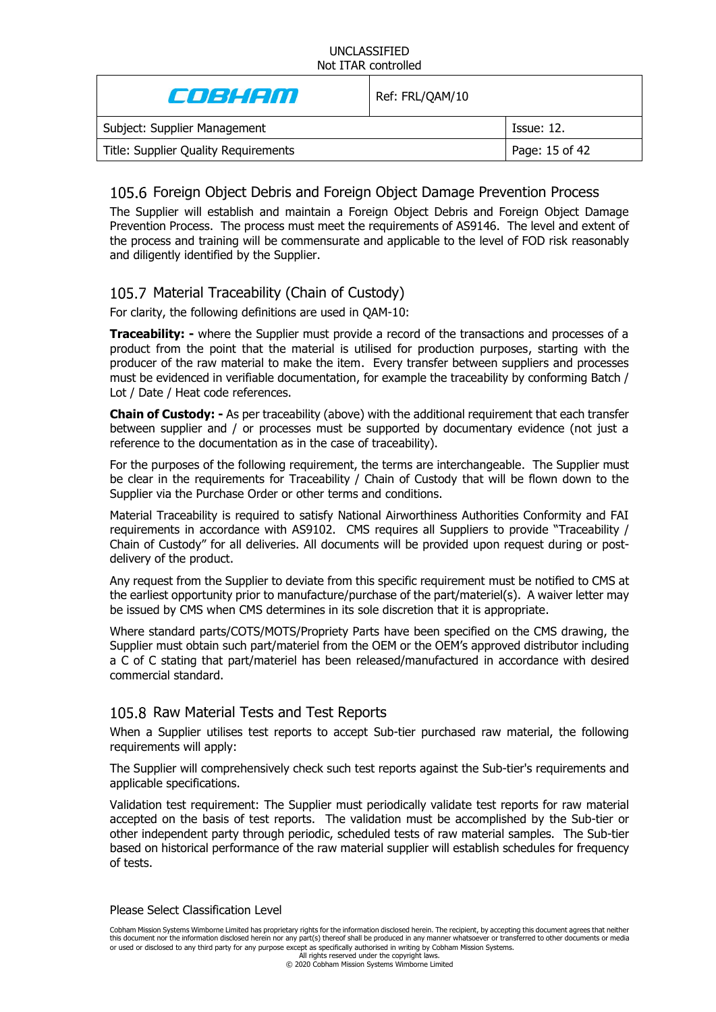| Colaithn                             | Ref: FRL/QAM/10 |                   |
|--------------------------------------|-----------------|-------------------|
| Subject: Supplier Management         |                 | <b>Issue: 12.</b> |
| Title: Supplier Quality Requirements |                 | Page: 15 of 42    |

# 105.6 Foreign Object Debris and Foreign Object Damage Prevention Process

The Supplier will establish and maintain a Foreign Object Debris and Foreign Object Damage Prevention Process. The process must meet the requirements of AS9146. The level and extent of the process and training will be commensurate and applicable to the level of FOD risk reasonably and diligently identified by the Supplier.

# <span id="page-14-0"></span>105.7 Material Traceability (Chain of Custody)

For clarity, the following definitions are used in QAM-10:

**Traceability: -** where the Supplier must provide a record of the transactions and processes of a product from the point that the material is utilised for production purposes, starting with the producer of the raw material to make the item. Every transfer between suppliers and processes must be evidenced in verifiable documentation, for example the traceability by conforming Batch / Lot / Date / Heat code references.

**Chain of Custody: -** As per traceability (above) with the additional requirement that each transfer between supplier and / or processes must be supported by documentary evidence (not just a reference to the documentation as in the case of traceability).

For the purposes of the following requirement, the terms are interchangeable. The Supplier must be clear in the requirements for Traceability / Chain of Custody that will be flown down to the Supplier via the Purchase Order or other terms and conditions.

Material Traceability is required to satisfy National Airworthiness Authorities Conformity and FAI requirements in accordance with AS9102. CMS requires all Suppliers to provide "Traceability / Chain of Custody" for all deliveries. All documents will be provided upon request during or postdelivery of the product.

Any request from the Supplier to deviate from this specific requirement must be notified to CMS at the earliest opportunity prior to manufacture/purchase of the part/materiel(s). A waiver letter may be issued by CMS when CMS determines in its sole discretion that it is appropriate.

Where standard parts/COTS/MOTS/Propriety Parts have been specified on the CMS drawing, the Supplier must obtain such part/materiel from the OEM or the OEM's approved distributor including a C of C stating that part/materiel has been released/manufactured in accordance with desired commercial standard.

# 105.8 Raw Material Tests and Test Reports

When a Supplier utilises test reports to accept Sub-tier purchased raw material, the following requirements will apply:

The Supplier will comprehensively check such test reports against the Sub-tier's requirements and applicable specifications.

Validation test requirement: The Supplier must periodically validate test reports for raw material accepted on the basis of test reports. The validation must be accomplished by the Sub-tier or other independent party through periodic, scheduled tests of raw material samples. The Sub-tier based on historical performance of the raw material supplier will establish schedules for frequency of tests.

### Please Select Classification Level

Cobham Mission Systems Wimborne Limited has proprietary rights for the information disclosed herein. The recipient, by accepting this document agrees that neither this document nor the information disclosed herein nor any part(s) thereof shall be produced in any manner whatsoever or transferred to other documents or media or used or disclosed to any third party for any purpose except as specifically authorised in writing by Cobham Mission Systems.

All rights reserved under the copyright laws. © 2020 Cobham Mission Systems Wimborne Limited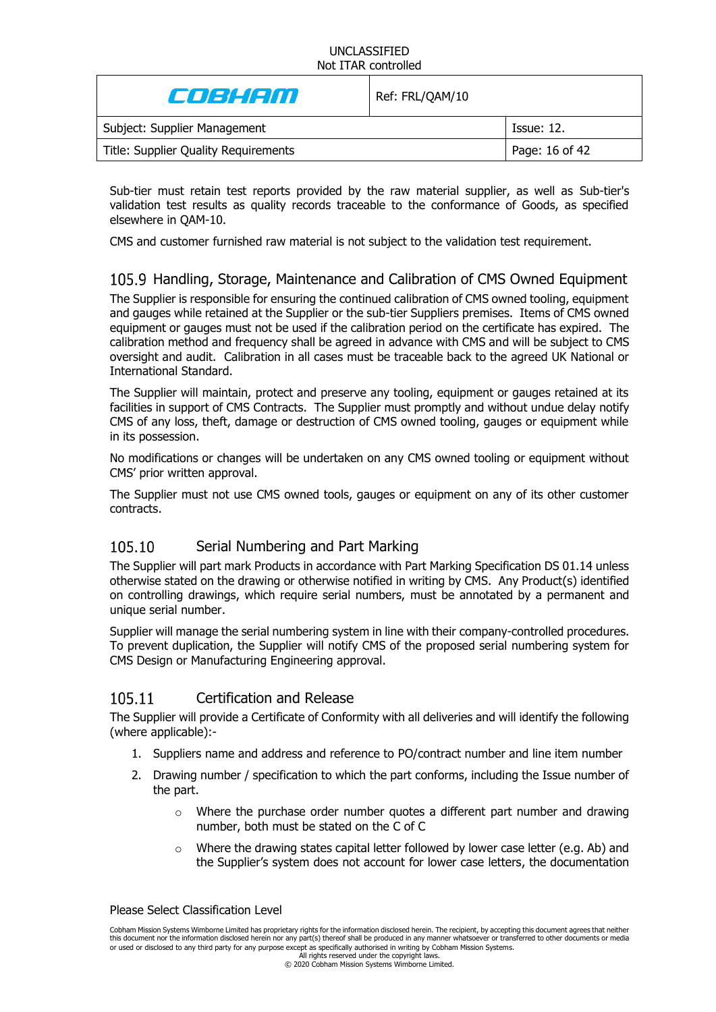| Coleienn                             | Ref: FRL/QAM/10 |                |
|--------------------------------------|-----------------|----------------|
| Subject: Supplier Management         |                 | Tssue: 12.     |
| Title: Supplier Quality Requirements |                 | Page: 16 of 42 |

Sub-tier must retain test reports provided by the raw material supplier, as well as Sub-tier's validation test results as quality records traceable to the conformance of Goods, as specified elsewhere in QAM-10.

CMS and customer furnished raw material is not subject to the validation test requirement.

# 105.9 Handling, Storage, Maintenance and Calibration of CMS Owned Equipment

The Supplier is responsible for ensuring the continued calibration of CMS owned tooling, equipment and gauges while retained at the Supplier or the sub-tier Suppliers premises. Items of CMS owned equipment or gauges must not be used if the calibration period on the certificate has expired. The calibration method and frequency shall be agreed in advance with CMS and will be subject to CMS oversight and audit. Calibration in all cases must be traceable back to the agreed UK National or International Standard.

The Supplier will maintain, protect and preserve any tooling, equipment or gauges retained at its facilities in support of CMS Contracts. The Supplier must promptly and without undue delay notify CMS of any loss, theft, damage or destruction of CMS owned tooling, gauges or equipment while in its possession.

No modifications or changes will be undertaken on any CMS owned tooling or equipment without CMS' prior written approval.

The Supplier must not use CMS owned tools, gauges or equipment on any of its other customer contracts.

#### 105.10 Serial Numbering and Part Marking

The Supplier will part mark Products in accordance with Part Marking Specification DS 01.14 unless otherwise stated on the drawing or otherwise notified in writing by CMS. Any Product(s) identified on controlling drawings, which require serial numbers, must be annotated by a permanent and unique serial number.

Supplier will manage the serial numbering system in line with their company-controlled procedures. To prevent duplication, the Supplier will notify CMS of the proposed serial numbering system for CMS Design or Manufacturing Engineering approval.

#### <span id="page-15-0"></span>Certification and Release 105.11

The Supplier will provide a Certificate of Conformity with all deliveries and will identify the following (where applicable):-

- 1. Suppliers name and address and reference to PO/contract number and line item number
- 2. Drawing number / specification to which the part conforms, including the Issue number of the part.
	- $\circ$  Where the purchase order number quotes a different part number and drawing number, both must be stated on the C of C
	- o Where the drawing states capital letter followed by lower case letter (e.g. Ab) and the Supplier's system does not account for lower case letters, the documentation

#### Please Select Classification Level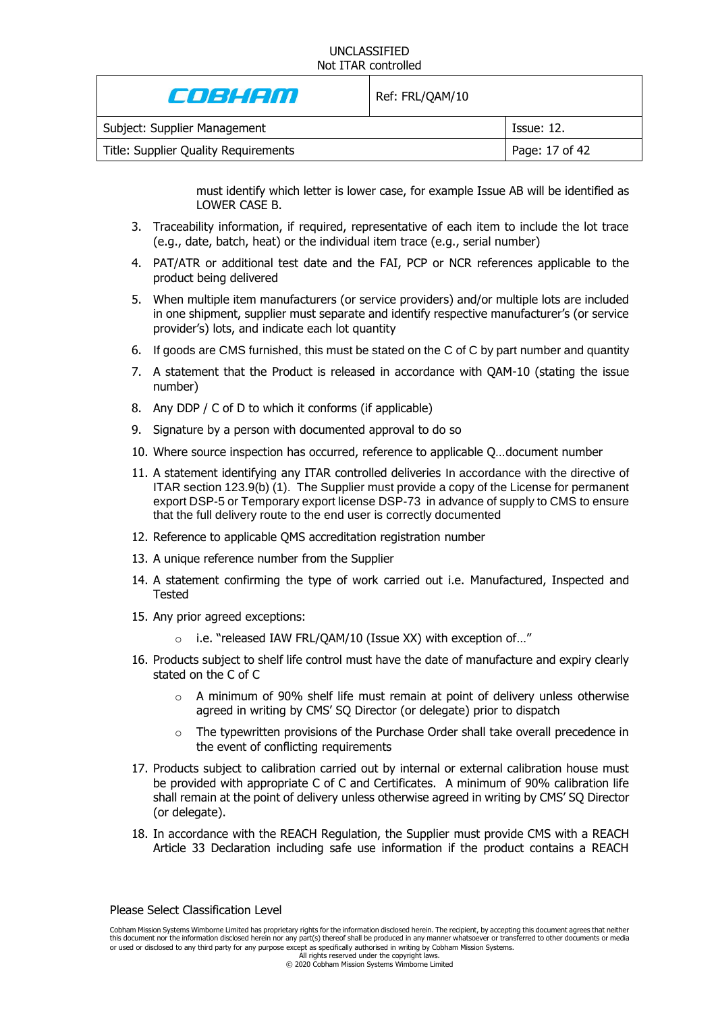| e de la con                          | Ref: FRL/QAM/10 |                |
|--------------------------------------|-----------------|----------------|
| Subject: Supplier Management         |                 | Tssue: 12.     |
| Title: Supplier Quality Requirements |                 | Page: 17 of 42 |

must identify which letter is lower case, for example Issue AB will be identified as LOWER CASE B.

- 3. Traceability information, if required, representative of each item to include the lot trace (e.g., date, batch, heat) or the individual item trace (e.g., serial number)
- 4. PAT/ATR or additional test date and the FAI, PCP or NCR references applicable to the product being delivered
- 5. When multiple item manufacturers (or service providers) and/or multiple lots are included in one shipment, supplier must separate and identify respective manufacturer's (or service provider's) lots, and indicate each lot quantity
- 6. If goods are CMS furnished, this must be stated on the C of C by part number and quantity
- 7. A statement that the Product is released in accordance with QAM-10 (stating the issue number)
- 8. Any DDP / C of D to which it conforms (if applicable)
- 9. Signature by a person with documented approval to do so
- 10. Where source inspection has occurred, reference to applicable Q…document number
- 11. A statement identifying any ITAR controlled deliveries In accordance with the directive of ITAR section 123.9(b) (1). The Supplier must provide a copy of the License for permanent export DSP-5 or Temporary export license DSP-73 in advance of supply to CMS to ensure that the full delivery route to the end user is correctly documented
- 12. Reference to applicable QMS accreditation registration number
- 13. A unique reference number from the Supplier
- 14. A statement confirming the type of work carried out i.e. Manufactured, Inspected and Tested
- 15. Any prior agreed exceptions:
	- o i.e. "released IAW FRL/QAM/10 (Issue XX) with exception of…"
- 16. Products subject to shelf life control must have the date of manufacture and expiry clearly stated on the C of C
	- $\circ$  A minimum of 90% shelf life must remain at point of delivery unless otherwise agreed in writing by CMS' SQ Director (or delegate) prior to dispatch
	- $\circ$  The typewritten provisions of the Purchase Order shall take overall precedence in the event of conflicting requirements
- 17. Products subject to calibration carried out by internal or external calibration house must be provided with appropriate C of C and Certificates. A minimum of 90% calibration life shall remain at the point of delivery unless otherwise agreed in writing by CMS' SQ Director (or delegate).
- 18. In accordance with the REACH Regulation, the Supplier must provide CMS with a REACH Article 33 Declaration including safe use information if the product contains a REACH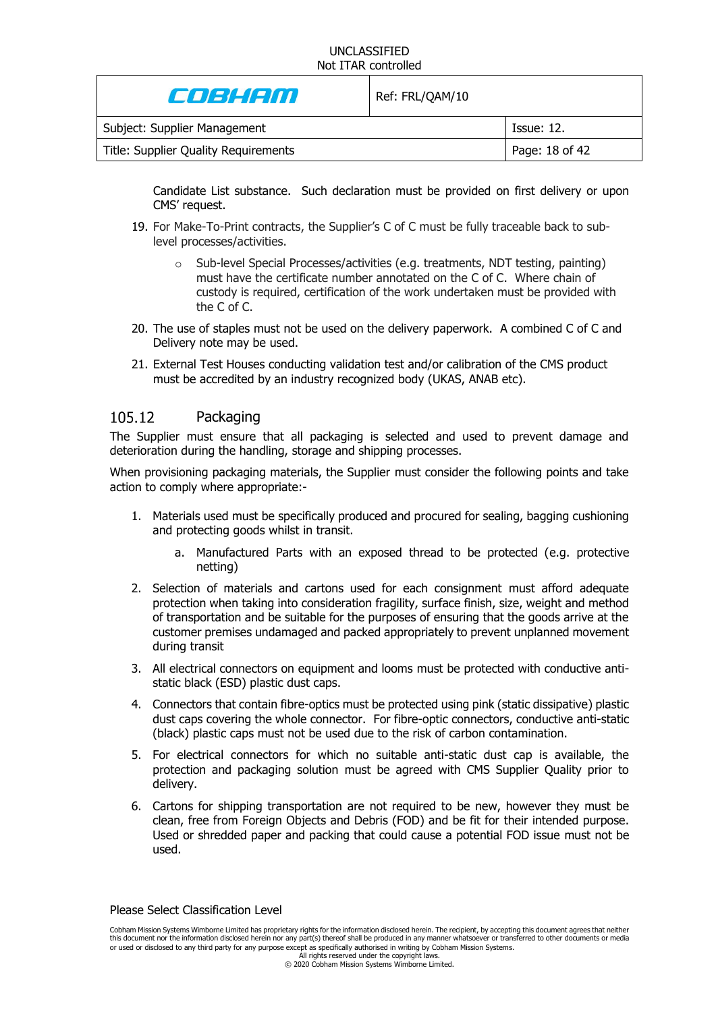| e de la com                          | Ref: FRL/QAM/10 |                   |
|--------------------------------------|-----------------|-------------------|
| Subject: Supplier Management         |                 | <b>Issue: 12.</b> |
| Title: Supplier Quality Requirements |                 | Page: 18 of 42    |

Candidate List substance. Such declaration must be provided on first delivery or upon CMS' request.

- 19. For Make-To-Print contracts, the Supplier's C of C must be fully traceable back to sublevel processes/activities.
	- $\circ$  Sub-level Special Processes/activities (e.g. treatments, NDT testing, painting) must have the certificate number annotated on the C of C. Where chain of custody is required, certification of the work undertaken must be provided with the C of C.
- 20. The use of staples must not be used on the delivery paperwork. A combined C of C and Delivery note may be used.
- 21. External Test Houses conducting validation test and/or calibration of the CMS product must be accredited by an industry recognized body (UKAS, ANAB etc).

#### 105.12 **Packaging**

The Supplier must ensure that all packaging is selected and used to prevent damage and deterioration during the handling, storage and shipping processes.

When provisioning packaging materials, the Supplier must consider the following points and take action to comply where appropriate:-

- 1. Materials used must be specifically produced and procured for sealing, bagging cushioning and protecting goods whilst in transit.
	- a. Manufactured Parts with an exposed thread to be protected (e.g. protective netting)
- 2. Selection of materials and cartons used for each consignment must afford adequate protection when taking into consideration fragility, surface finish, size, weight and method of transportation and be suitable for the purposes of ensuring that the goods arrive at the customer premises undamaged and packed appropriately to prevent unplanned movement during transit
- 3. All electrical connectors on equipment and looms must be protected with conductive antistatic black (ESD) plastic dust caps.
- 4. Connectors that contain fibre-optics must be protected using pink (static dissipative) plastic dust caps covering the whole connector. For fibre-optic connectors, conductive anti-static (black) plastic caps must not be used due to the risk of carbon contamination.
- 5. For electrical connectors for which no suitable anti-static dust cap is available, the protection and packaging solution must be agreed with CMS Supplier Quality prior to delivery.
- 6. Cartons for shipping transportation are not required to be new, however they must be clean, free from Foreign Objects and Debris (FOD) and be fit for their intended purpose. Used or shredded paper and packing that could cause a potential FOD issue must not be used.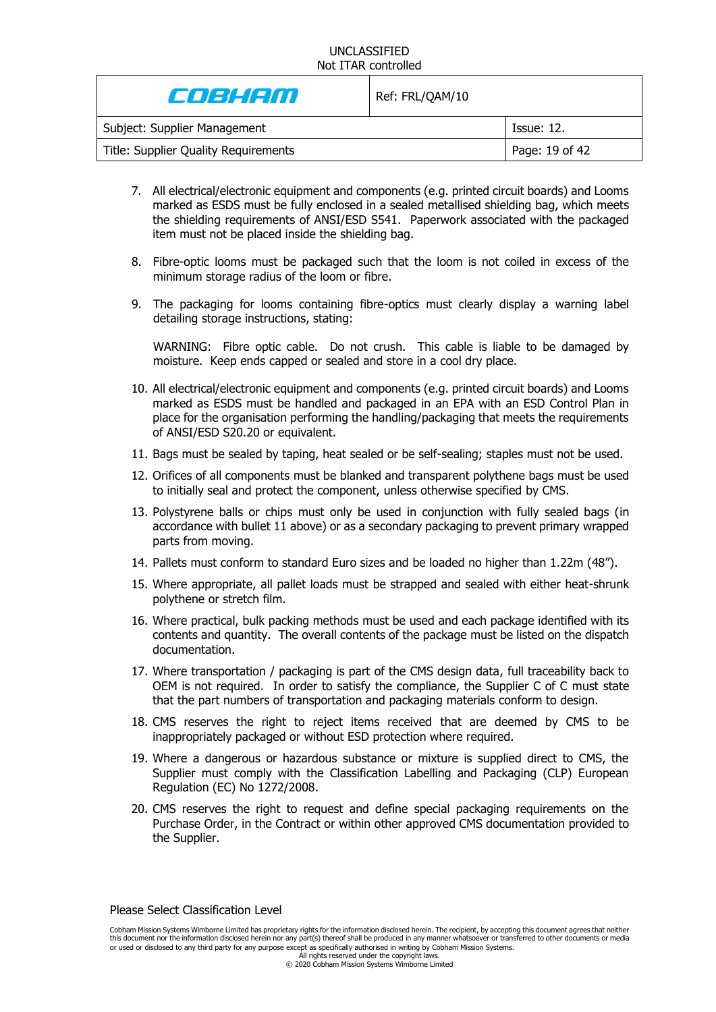| Coleienn                             | Ref: FRL/QAM/10 |                |
|--------------------------------------|-----------------|----------------|
| Subject: Supplier Management         |                 | Tssue: 12.     |
| Title: Supplier Quality Requirements |                 | Page: 19 of 42 |

- 7. All electrical/electronic equipment and components (e.g. printed circuit boards) and Looms marked as ESDS must be fully enclosed in a sealed metallised shielding bag, which meets the shielding requirements of ANSI/ESD S541. Paperwork associated with the packaged item must not be placed inside the shielding bag.
- 8. Fibre-optic looms must be packaged such that the loom is not coiled in excess of the minimum storage radius of the loom or fibre.
- 9. The packaging for looms containing fibre-optics must clearly display a warning label detailing storage instructions, stating:

WARNING: Fibre optic cable. Do not crush. This cable is liable to be damaged by moisture. Keep ends capped or sealed and store in a cool dry place.

- 10. All electrical/electronic equipment and components (e.g. printed circuit boards) and Looms marked as ESDS must be handled and packaged in an EPA with an ESD Control Plan in place for the organisation performing the handling/packaging that meets the requirements of ANSI/ESD S20.20 or equivalent.
- 11. Bags must be sealed by taping, heat sealed or be self-sealing; staples must not be used.
- 12. Orifices of all components must be blanked and transparent polythene bags must be used to initially seal and protect the component, unless otherwise specified by CMS.
- 13. Polystyrene balls or chips must only be used in conjunction with fully sealed bags (in accordance with bullet 11 above) or as a secondary packaging to prevent primary wrapped parts from moving.
- 14. Pallets must conform to standard Euro sizes and be loaded no higher than 1.22m (48").
- 15. Where appropriate, all pallet loads must be strapped and sealed with either heat-shrunk polythene or stretch film.
- 16. Where practical, bulk packing methods must be used and each package identified with its contents and quantity. The overall contents of the package must be listed on the dispatch documentation.
- 17. Where transportation / packaging is part of the CMS design data, full traceability back to OEM is not required. In order to satisfy the compliance, the Supplier C of C must state that the part numbers of transportation and packaging materials conform to design.
- 18. CMS reserves the right to reject items received that are deemed by CMS to be inappropriately packaged or without ESD protection where required.
- 19. Where a dangerous or hazardous substance or mixture is supplied direct to CMS, the Supplier must comply with the Classification Labelling and Packaging (CLP) European Regulation (EC) No 1272/2008.
- 20. CMS reserves the right to request and define special packaging requirements on the Purchase Order, in the Contract or within other approved CMS documentation provided to the Supplier.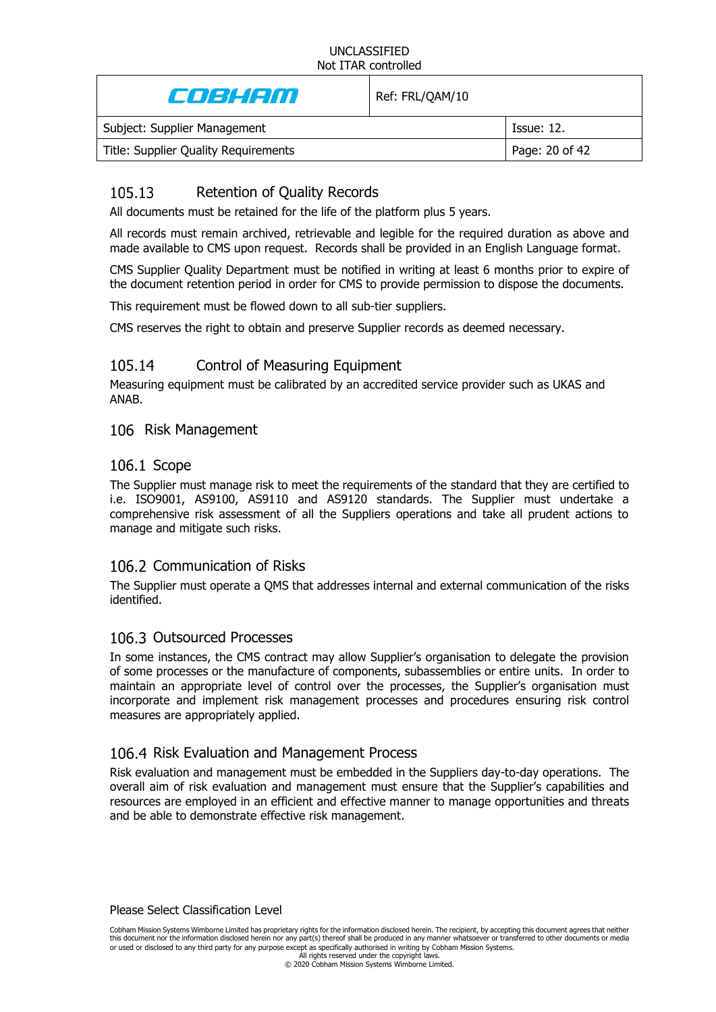| Colean de la comunicación de la contradición de la contradición de la contradición de la contradición de la co | Ref: FRL/QAM/10 |                   |
|----------------------------------------------------------------------------------------------------------------|-----------------|-------------------|
| Subject: Supplier Management                                                                                   |                 | <b>Issue: 12.</b> |
| Title: Supplier Quality Requirements                                                                           |                 | Page: 20 of 42    |
|                                                                                                                |                 |                   |

#### <span id="page-19-1"></span>105.13 Retention of Quality Records

All documents must be retained for the life of the platform plus 5 years.

All records must remain archived, retrievable and legible for the required duration as above and made available to CMS upon request. Records shall be provided in an English Language format.

CMS Supplier Quality Department must be notified in writing at least 6 months prior to expire of the document retention period in order for CMS to provide permission to dispose the documents.

This requirement must be flowed down to all sub-tier suppliers.

CMS reserves the right to obtain and preserve Supplier records as deemed necessary.

#### 105.14 Control of Measuring Equipment

Measuring equipment must be calibrated by an accredited service provider such as UKAS and ANAB.

### <span id="page-19-0"></span>106 Risk Management

### 106.1 Scope

The Supplier must manage risk to meet the requirements of the standard that they are certified to i.e. ISO9001, AS9100, AS9110 and AS9120 standards. The Supplier must undertake a comprehensive risk assessment of all the Suppliers operations and take all prudent actions to manage and mitigate such risks.

# 106.2 Communication of Risks

The Supplier must operate a QMS that addresses internal and external communication of the risks identified.

### 106.3 Outsourced Processes

In some instances, the CMS contract may allow Supplier's organisation to delegate the provision of some processes or the manufacture of components, subassemblies or entire units. In order to maintain an appropriate level of control over the processes, the Supplier's organisation must incorporate and implement risk management processes and procedures ensuring risk control measures are appropriately applied.

### 106.4 Risk Evaluation and Management Process

Risk evaluation and management must be embedded in the Suppliers day-to-day operations. The overall aim of risk evaluation and management must ensure that the Supplier's capabilities and resources are employed in an efficient and effective manner to manage opportunities and threats and be able to demonstrate effective risk management.

Please Select Classification Level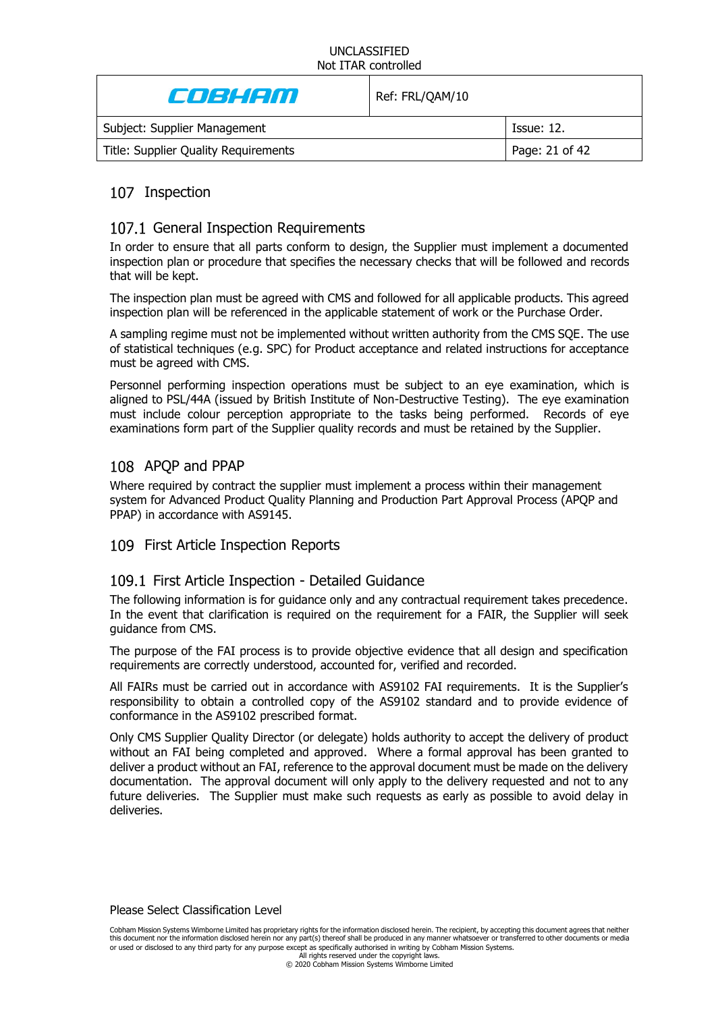| Coleienn                             | Ref: FRL/QAM/10 |                   |
|--------------------------------------|-----------------|-------------------|
| Subject: Supplier Management         |                 | <b>Issue: 12.</b> |
| Title: Supplier Quality Requirements |                 | Page: 21 of 42    |

# 107 Inspection

### 107.1 General Inspection Requirements

In order to ensure that all parts conform to design, the Supplier must implement a documented inspection plan or procedure that specifies the necessary checks that will be followed and records that will be kept.

The inspection plan must be agreed with CMS and followed for all applicable products. This agreed inspection plan will be referenced in the applicable statement of work or the Purchase Order.

A sampling regime must not be implemented without written authority from the CMS SQE. The use of statistical techniques (e.g. SPC) for Product acceptance and related instructions for acceptance must be agreed with CMS.

Personnel performing inspection operations must be subject to an eye examination, which is aligned to PSL/44A (issued by British Institute of Non-Destructive Testing). The eye examination must include colour perception appropriate to the tasks being performed. Records of eye examinations form part of the Supplier quality records and must be retained by the Supplier.

# 108 APQP and PPAP

Where required by contract the supplier must implement a process within their management system for Advanced Product Quality Planning and Production Part Approval Process (APQP and PPAP) in accordance with AS9145.

### 109 First Article Inspection Reports

### 109.1 First Article Inspection - Detailed Guidance

The following information is for guidance only and any contractual requirement takes precedence. In the event that clarification is required on the requirement for a FAIR, the Supplier will seek guidance from CMS.

The purpose of the FAI process is to provide objective evidence that all design and specification requirements are correctly understood, accounted for, verified and recorded.

All FAIRs must be carried out in accordance with AS9102 FAI requirements. It is the Supplier's responsibility to obtain a controlled copy of the AS9102 standard and to provide evidence of conformance in the AS9102 prescribed format.

Only CMS Supplier Quality Director (or delegate) holds authority to accept the delivery of product without an FAI being completed and approved. Where a formal approval has been granted to deliver a product without an FAI, reference to the approval document must be made on the delivery documentation. The approval document will only apply to the delivery requested and not to any future deliveries. The Supplier must make such requests as early as possible to avoid delay in deliveries.

Please Select Classification Level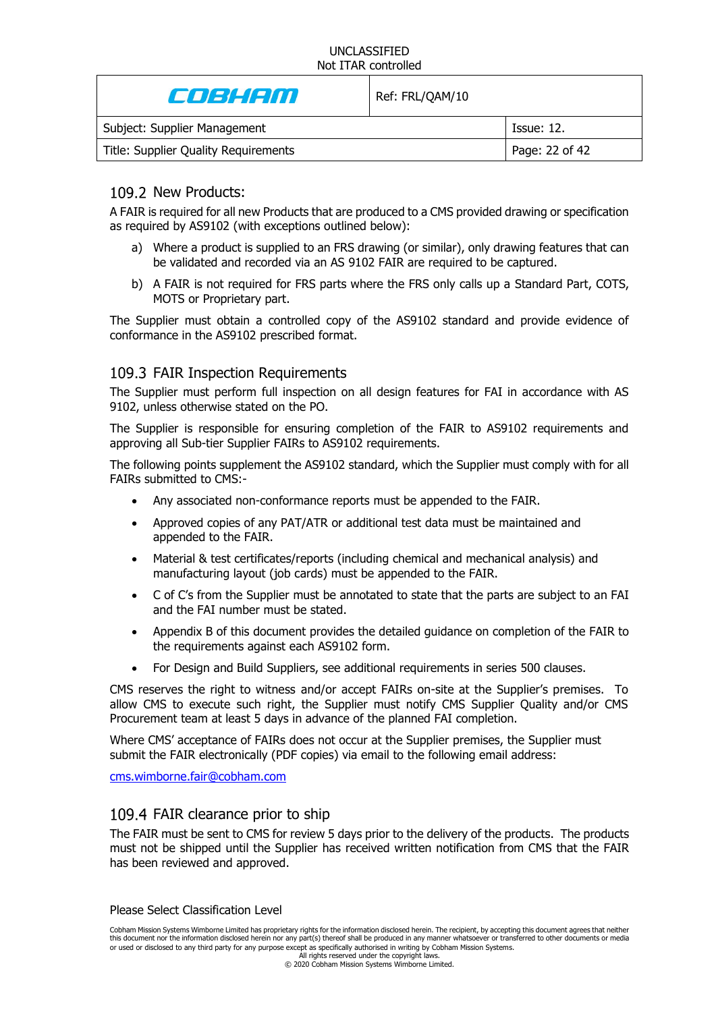| e de la com                          | Ref: FRL/QAM/10 |                |
|--------------------------------------|-----------------|----------------|
| Subject: Supplier Management         |                 | Issue: 12.     |
| Title: Supplier Quality Requirements |                 | Page: 22 of 42 |
|                                      |                 |                |

## 109.2 New Products:

A FAIR is required for all new Products that are produced to a CMS provided drawing or specification as required by AS9102 (with exceptions outlined below):

- a) Where a product is supplied to an FRS drawing (or similar), only drawing features that can be validated and recorded via an AS 9102 FAIR are required to be captured.
- b) A FAIR is not required for FRS parts where the FRS only calls up a Standard Part, COTS, MOTS or Proprietary part.

The Supplier must obtain a controlled copy of the AS9102 standard and provide evidence of conformance in the AS9102 prescribed format.

# 109.3 FAIR Inspection Requirements

The Supplier must perform full inspection on all design features for FAI in accordance with AS 9102, unless otherwise stated on the PO.

The Supplier is responsible for ensuring completion of the FAIR to AS9102 requirements and approving all Sub-tier Supplier FAIRs to AS9102 requirements.

The following points supplement the AS9102 standard, which the Supplier must comply with for all FAIRs submitted to CMS:-

- Any associated non-conformance reports must be appended to the FAIR.
- Approved copies of any PAT/ATR or additional test data must be maintained and appended to the FAIR.
- Material & test certificates/reports (including chemical and mechanical analysis) and manufacturing layout (job cards) must be appended to the FAIR.
- C of C's from the Supplier must be annotated to state that the parts are subject to an FAI and the FAI number must be stated.
- Appendix B of this document provides the detailed guidance on completion of the FAIR to the requirements against each AS9102 form.
- For Design and Build Suppliers, see additional requirements in series [500](#page-30-0) clauses.

CMS reserves the right to witness and/or accept FAIRs on-site at the Supplier's premises. To allow CMS to execute such right, the Supplier must notify CMS Supplier Quality and/or CMS Procurement team at least 5 days in advance of the planned FAI completion.

Where CMS' acceptance of FAIRs does not occur at the Supplier premises, the Supplier must submit the FAIR electronically (PDF copies) via email to the following email address:

[cms.wimborne.fair@cobham.com](mailto:cms.wimborne.fair@cobham.com)

# 109.4 FAIR clearance prior to ship

The FAIR must be sent to CMS for review 5 days prior to the delivery of the products. The products must not be shipped until the Supplier has received written notification from CMS that the FAIR has been reviewed and approved.

Please Select Classification Level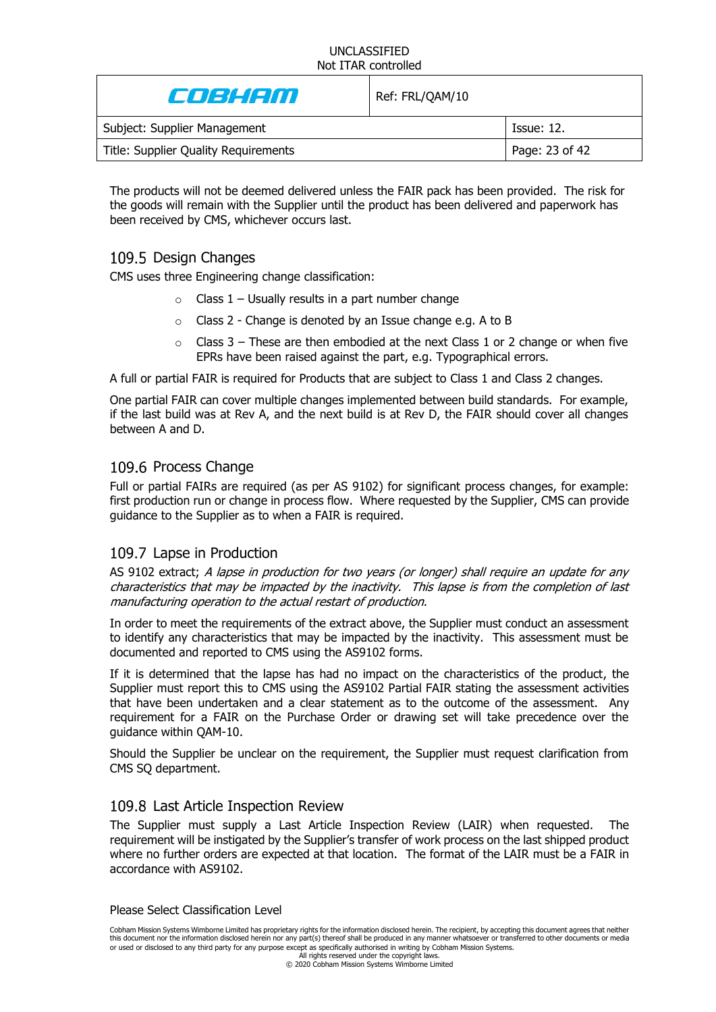| e de la cont                         | Ref: FRL/QAM/10 |                   |
|--------------------------------------|-----------------|-------------------|
| Subject: Supplier Management         |                 | <b>Issue: 12.</b> |
| Title: Supplier Quality Requirements |                 | Page: 23 of 42    |

The products will not be deemed delivered unless the FAIR pack has been provided. The risk for the goods will remain with the Supplier until the product has been delivered and paperwork has been received by CMS, whichever occurs last.

# 109.5 Design Changes

CMS uses three Engineering change classification:

- $\circ$  Class 1 Usually results in a part number change
- o Class 2 Change is denoted by an Issue change e.g. A to B
- $\circ$  Class 3 These are then embodied at the next Class 1 or 2 change or when five EPRs have been raised against the part, e.g. Typographical errors.

A full or partial FAIR is required for Products that are subject to Class 1 and Class 2 changes.

One partial FAIR can cover multiple changes implemented between build standards. For example, if the last build was at Rev A, and the next build is at Rev D, the FAIR should cover all changes between A and D.

### 109.6 Process Change

Full or partial FAIRs are required (as per AS 9102) for significant process changes, for example: first production run or change in process flow. Where requested by the Supplier, CMS can provide guidance to the Supplier as to when a FAIR is required.

# 109.7 Lapse in Production

AS 9102 extract; A lapse in production for two years (or longer) shall require an update for any characteristics that may be impacted by the inactivity. This lapse is from the completion of last manufacturing operation to the actual restart of production.

In order to meet the requirements of the extract above, the Supplier must conduct an assessment to identify any characteristics that may be impacted by the inactivity. This assessment must be documented and reported to CMS using the AS9102 forms.

If it is determined that the lapse has had no impact on the characteristics of the product, the Supplier must report this to CMS using the AS9102 Partial FAIR stating the assessment activities that have been undertaken and a clear statement as to the outcome of the assessment. Any requirement for a FAIR on the Purchase Order or drawing set will take precedence over the guidance within QAM-10.

Should the Supplier be unclear on the requirement, the Supplier must request clarification from CMS SQ department.

### 109.8 Last Article Inspection Review

The Supplier must supply a Last Article Inspection Review (LAIR) when requested. The requirement will be instigated by the Supplier's transfer of work process on the last shipped product where no further orders are expected at that location. The format of the LAIR must be a FAIR in accordance with AS9102.

#### Please Select Classification Level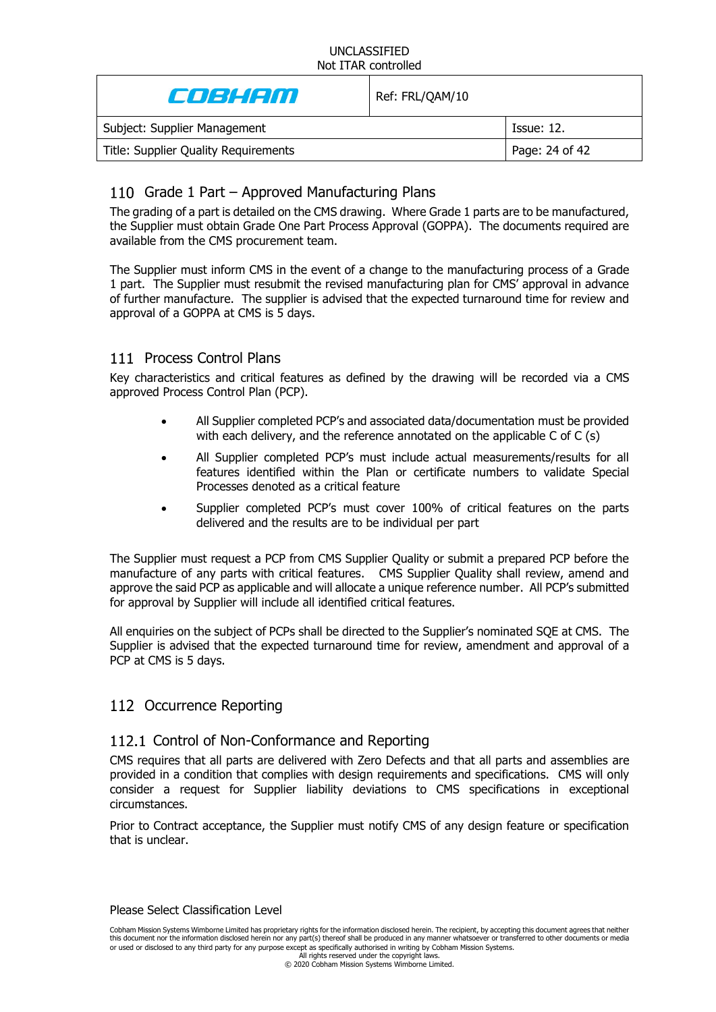| Enskem                               | Ref: FRL/QAM/10 |                |
|--------------------------------------|-----------------|----------------|
| Subject: Supplier Management         |                 | Issue: 12.     |
| Title: Supplier Quality Requirements |                 | Page: 24 of 42 |

# 110 Grade 1 Part - Approved Manufacturing Plans

The grading of a part is detailed on the CMS drawing. Where Grade 1 parts are to be manufactured, the Supplier must obtain Grade One Part Process Approval (GOPPA). The documents required are available from the CMS procurement team.

The Supplier must inform CMS in the event of a change to the manufacturing process of a Grade 1 part. The Supplier must resubmit the revised manufacturing plan for CMS' approval in advance of further manufacture. The supplier is advised that the expected turnaround time for review and approval of a GOPPA at CMS is 5 days.

# 111 Process Control Plans

Key characteristics and critical features as defined by the drawing will be recorded via a CMS approved Process Control Plan (PCP).

- All Supplier completed PCP's and associated data/documentation must be provided with each delivery, and the reference annotated on the applicable C of C (s)
- All Supplier completed PCP's must include actual measurements/results for all features identified within the Plan or certificate numbers to validate Special Processes denoted as a critical feature
- Supplier completed PCP's must cover 100% of critical features on the parts delivered and the results are to be individual per part

The Supplier must request a PCP from CMS Supplier Quality or submit a prepared PCP before the manufacture of any parts with critical features. CMS Supplier Quality shall review, amend and approve the said PCP as applicable and will allocate a unique reference number. All PCP's submitted for approval by Supplier will include all identified critical features.

All enquiries on the subject of PCPs shall be directed to the Supplier's nominated SQE at CMS. The Supplier is advised that the expected turnaround time for review, amendment and approval of a PCP at CMS is 5 days.

# 112 Occurrence Reporting

# 112.1 Control of Non-Conformance and Reporting

CMS requires that all parts are delivered with Zero Defects and that all parts and assemblies are provided in a condition that complies with design requirements and specifications. CMS will only consider a request for Supplier liability deviations to CMS specifications in exceptional circumstances.

Prior to Contract acceptance, the Supplier must notify CMS of any design feature or specification that is unclear.

#### Please Select Classification Level

Cobham Mission Systems Wimborne Limited has proprietary rights for the information disclosed herein. The recipient, by accepting this document agrees that neither this document nor the information disclosed herein nor any part(s) thereof shall be produced in any manner whatsoever or transferred to other documents or media or used or disclosed to any third party for any purpose except as specifically authorised in writing by Cobham Mission Systems.

All rights reserved under the copyright laws. © 2020 Cobham Mission Systems Wimborne Limited.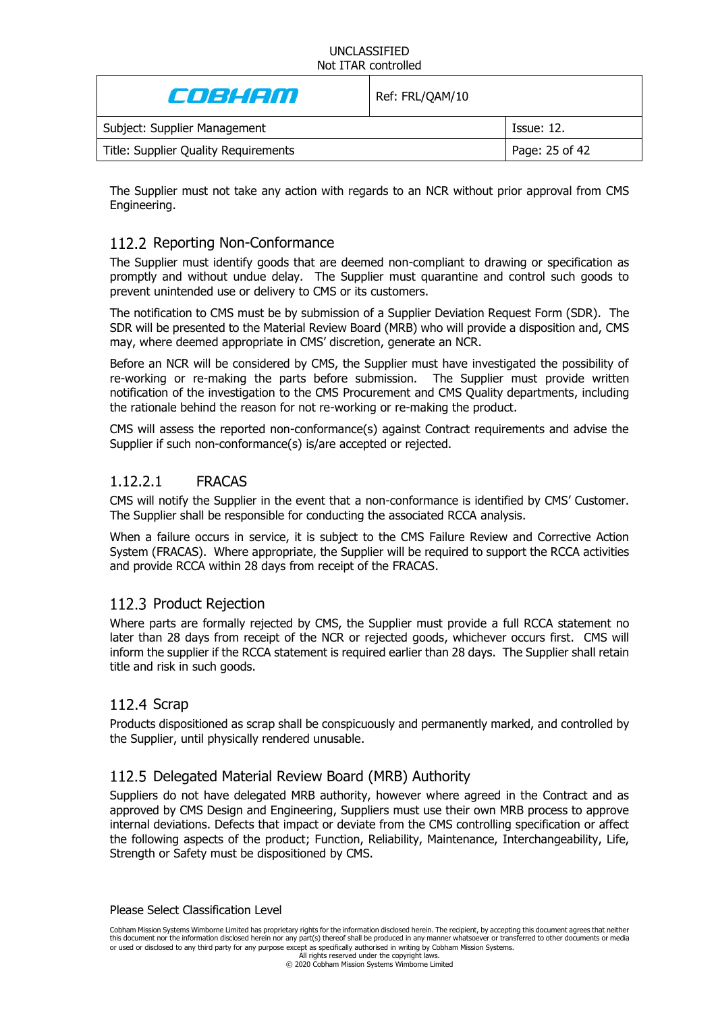| Ensistem                             | Ref: FRL/QAM/10 |                   |
|--------------------------------------|-----------------|-------------------|
| Subject: Supplier Management         |                 | <b>Issue: 12.</b> |
| Title: Supplier Quality Requirements |                 | Page: 25 of 42    |

The Supplier must not take any action with regards to an NCR without prior approval from CMS Engineering.

# 112.2 Reporting Non-Conformance

The Supplier must identify goods that are deemed non-compliant to drawing or specification as promptly and without undue delay. The Supplier must quarantine and control such goods to prevent unintended use or delivery to CMS or its customers.

The notification to CMS must be by submission of a Supplier Deviation Request Form (SDR). The SDR will be presented to the Material Review Board (MRB) who will provide a disposition and, CMS may, where deemed appropriate in CMS' discretion, generate an NCR.

Before an NCR will be considered by CMS, the Supplier must have investigated the possibility of re-working or re-making the parts before submission. The Supplier must provide written notification of the investigation to the CMS Procurement and CMS Quality departments, including the rationale behind the reason for not re-working or re-making the product.

CMS will assess the reported non-conformance(s) against Contract requirements and advise the Supplier if such non-conformance(s) is/are accepted or rejected.

# 1.12.2.1 FRACAS

CMS will notify the Supplier in the event that a non-conformance is identified by CMS' Customer. The Supplier shall be responsible for conducting the associated RCCA analysis.

When a failure occurs in service, it is subject to the CMS Failure Review and Corrective Action System (FRACAS). Where appropriate, the Supplier will be required to support the RCCA activities and provide RCCA within 28 days from receipt of the FRACAS.

# 112.3 Product Rejection

Where parts are formally rejected by CMS, the Supplier must provide a full RCCA statement no later than 28 days from receipt of the NCR or rejected goods, whichever occurs first. CMS will inform the supplier if the RCCA statement is required earlier than 28 days. The Supplier shall retain title and risk in such goods.

# 112.4 Scrap

Products dispositioned as scrap shall be conspicuously and permanently marked, and controlled by the Supplier, until physically rendered unusable.

# 112.5 Delegated Material Review Board (MRB) Authority

Suppliers do not have delegated MRB authority, however where agreed in the Contract and as approved by CMS Design and Engineering, Suppliers must use their own MRB process to approve internal deviations. Defects that impact or deviate from the CMS controlling specification or affect the following aspects of the product; Function, Reliability, Maintenance, Interchangeability, Life, Strength or Safety must be dispositioned by CMS.

#### Please Select Classification Level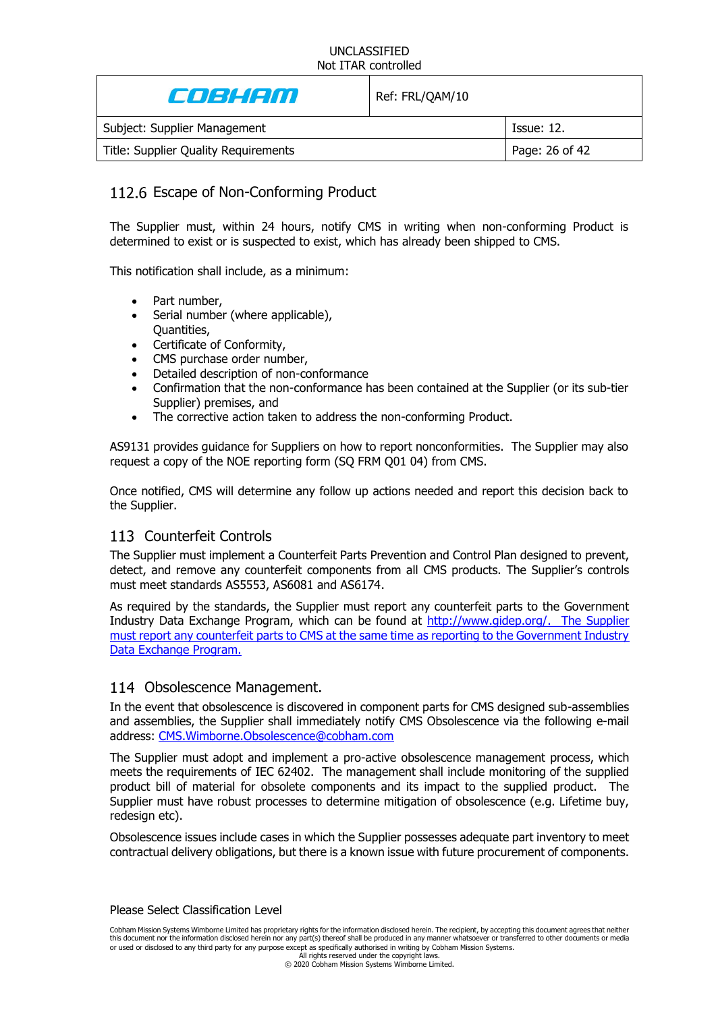| En seem                              | Ref: FRL/QAM/10 |                   |
|--------------------------------------|-----------------|-------------------|
| Subject: Supplier Management         |                 | <b>Issue: 12.</b> |
| Title: Supplier Quality Requirements |                 | Page: 26 of 42    |

# 112.6 Escape of Non-Conforming Product

The Supplier must, within 24 hours, notify CMS in writing when non-conforming Product is determined to exist or is suspected to exist, which has already been shipped to CMS.

This notification shall include, as a minimum:

- Part number,
- Serial number (where applicable), Quantities,
- Certificate of Conformity,
- CMS purchase order number,
- Detailed description of non-conformance
- Confirmation that the non-conformance has been contained at the Supplier (or its sub-tier Supplier) premises, and
- The corrective action taken to address the non-conforming Product.

AS9131 provides guidance for Suppliers on how to report nonconformities. The Supplier may also request a copy of the NOE reporting form (SQ FRM Q01 04) from CMS.

Once notified, CMS will determine any follow up actions needed and report this decision back to the Supplier.

# <span id="page-25-0"></span>113 Counterfeit Controls

The Supplier must implement a Counterfeit Parts Prevention and Control Plan designed to prevent, detect, and remove any counterfeit components from all CMS products. The Supplier's controls must meet standards AS5553, AS6081 and AS6174.

As required by the standards, the Supplier must report any counterfeit parts to the Government Industry Data Exchange Program, which can be found at [http://www.gidep.org/.](http://www.gidep.org/) The Supplier must report any counterfeit parts to CMS at the same time as reporting to the Government Industry Data Exchange Program.

### 114 Obsolescence Management.

In the event that obsolescence is discovered in component parts for CMS designed sub-assemblies and assemblies, the Supplier shall immediately notify CMS Obsolescence via the following e-mail address: [CMS.Wimborne.Obsolescence@cobham.com](mailto:CMS.Wimborne.Obsolescence@cobham.com)

The Supplier must adopt and implement a pro-active obsolescence management process, which meets the requirements of IEC 62402. The management shall include monitoring of the supplied product bill of material for obsolete components and its impact to the supplied product. The Supplier must have robust processes to determine mitigation of obsolescence (e.g. Lifetime buy, redesign etc).

Obsolescence issues include cases in which the Supplier possesses adequate part inventory to meet contractual delivery obligations, but there is a known issue with future procurement of components.

Please Select Classification Level

Cobham Mission Systems Wimborne Limited has proprietary rights for the information disclosed herein. The recipient, by accepting this document agrees that neither this document nor the information disclosed herein nor any part(s) thereof shall be produced in any manner whatsoever or transferred to other documents or media or used or disclosed to any third party for any purpose except as specifically authorised in writing by Cobham Mission Systems.

All rights reserved under the copyright laws. © 2020 Cobham Mission Systems Wimborne Limited.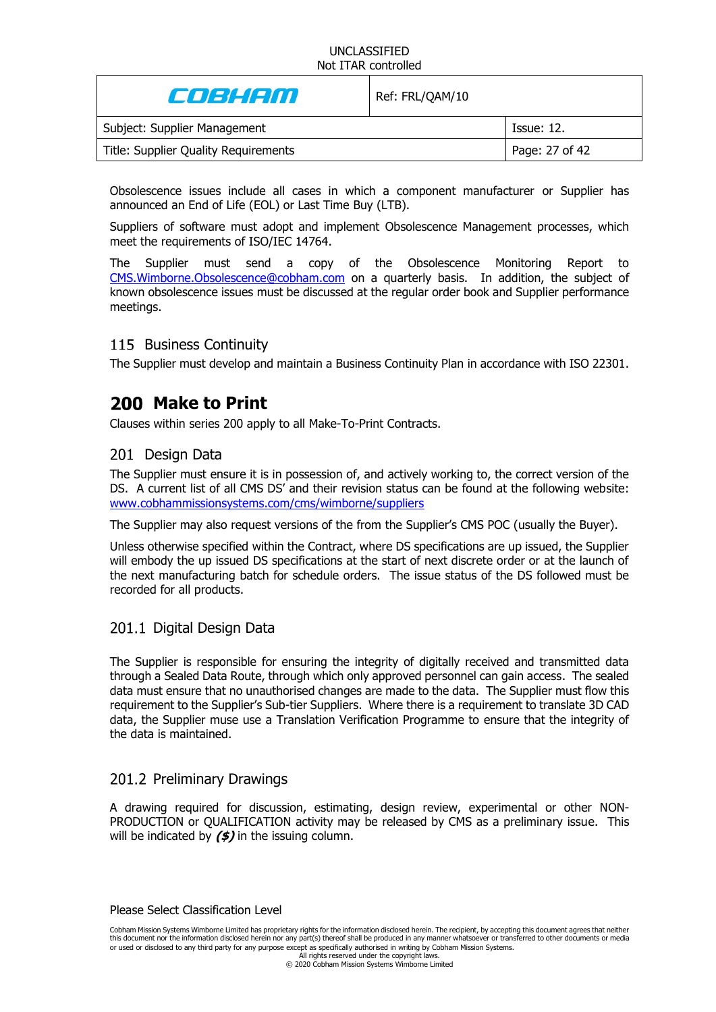| COBHAM                               | Ref: FRL/QAM/10 |                |
|--------------------------------------|-----------------|----------------|
| Subject: Supplier Management         |                 | Tssue: 12.     |
| Title: Supplier Quality Requirements |                 | Page: 27 of 42 |

Obsolescence issues include all cases in which a component manufacturer or Supplier has announced an End of Life (EOL) or Last Time Buy (LTB).

Suppliers of software must adopt and implement Obsolescence Management processes, which meet the requirements of ISO/IEC 14764.

The Supplier must send a copy of the Obsolescence Monitoring Report to [CMS.Wimborne.Obsolescence@cobham.com](mailto:CMS.Wimborne.Obsolescence@cobham.com) on a quarterly basis. In addition, the subject of known obsolescence issues must be discussed at the regular order book and Supplier performance meetings.

# 115 Business Continuity

The Supplier must develop and maintain a Business Continuity Plan in accordance with ISO 22301.

# **200 Make to Print**

Clauses within series 200 apply to all Make-To-Print Contracts.

# 201 Design Data

The Supplier must ensure it is in possession of, and actively working to, the correct version of the DS. A current list of all CMS DS' and their revision status can be found at the following website: [www.cobhammissionsystems.com/cms/wimborne/suppliers](http://www.cobhammissionsystems.com/cms/wimborne/suppliers)

The Supplier may also request versions of the from the Supplier's CMS POC (usually the Buyer).

Unless otherwise specified within the Contract, where DS specifications are up issued, the Supplier will embody the up issued DS specifications at the start of next discrete order or at the launch of the next manufacturing batch for schedule orders. The issue status of the DS followed must be recorded for all products.

# 201.1 Digital Design Data

The Supplier is responsible for ensuring the integrity of digitally received and transmitted data through a Sealed Data Route, through which only approved personnel can gain access. The sealed data must ensure that no unauthorised changes are made to the data. The Supplier must flow this requirement to the Supplier's Sub-tier Suppliers. Where there is a requirement to translate 3D CAD data, the Supplier muse use a Translation Verification Programme to ensure that the integrity of the data is maintained.

# 201.2 Preliminary Drawings

A drawing required for discussion, estimating, design review, experimental or other NON-PRODUCTION or QUALIFICATION activity may be released by CMS as a preliminary issue. This will be indicated by **(\$)** in the issuing column.

Please Select Classification Level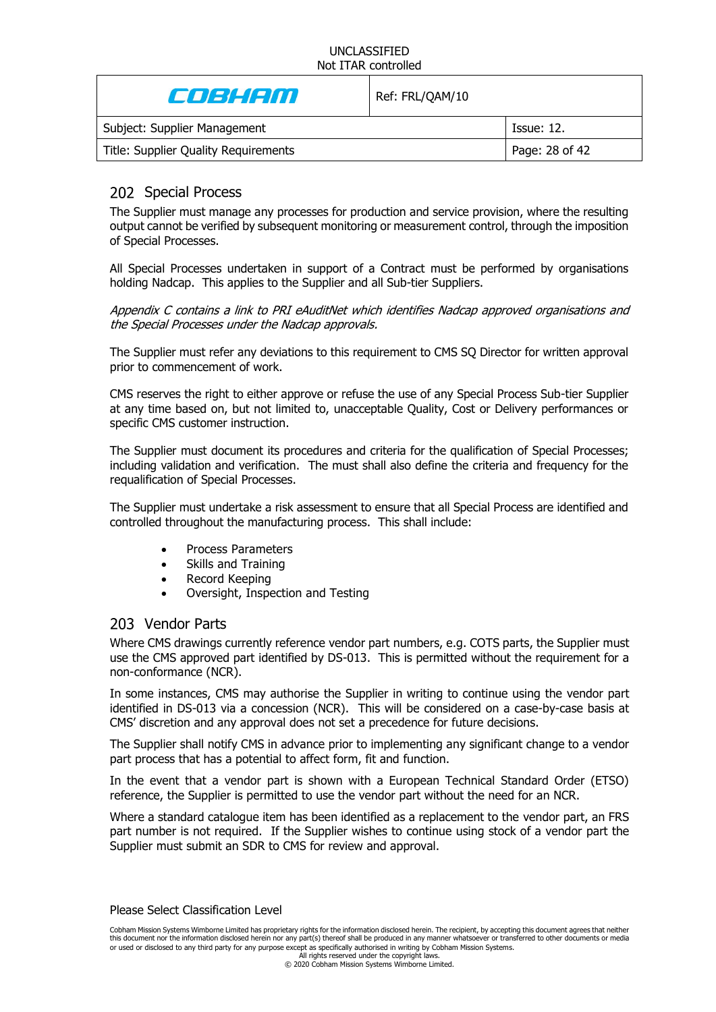| CO 31 1200                           | Ref: FRL/QAM/10 |                   |
|--------------------------------------|-----------------|-------------------|
| Subject: Supplier Management         |                 | <b>Issue: 12.</b> |
| Title: Supplier Quality Requirements |                 | Page: 28 of 42    |

# <span id="page-27-0"></span>202 Special Process

The Supplier must manage any processes for production and service provision, where the resulting output cannot be verified by subsequent monitoring or measurement control, through the imposition of Special Processes.

All Special Processes undertaken in support of a Contract must be performed by organisations holding Nadcap. This applies to the Supplier and all Sub-tier Suppliers.

Appendix C contains a link to PRI eAuditNet which identifies Nadcap approved organisations and the Special Processes under the Nadcap approvals.

The Supplier must refer any deviations to this requirement to CMS SQ Director for written approval prior to commencement of work.

CMS reserves the right to either approve or refuse the use of any Special Process Sub-tier Supplier at any time based on, but not limited to, unacceptable Quality, Cost or Delivery performances or specific CMS customer instruction.

The Supplier must document its procedures and criteria for the qualification of Special Processes; including validation and verification. The must shall also define the criteria and frequency for the requalification of Special Processes.

The Supplier must undertake a risk assessment to ensure that all Special Process are identified and controlled throughout the manufacturing process. This shall include:

- Process Parameters
- Skills and Training
- Record Keeping
- Oversight, Inspection and Testing

### 203 Vendor Parts

Where CMS drawings currently reference vendor part numbers, e.g. COTS parts, the Supplier must use the CMS approved part identified by DS-013. This is permitted without the requirement for a non-conformance (NCR).

In some instances, CMS may authorise the Supplier in writing to continue using the vendor part identified in DS-013 via a concession (NCR). This will be considered on a case-by-case basis at CMS' discretion and any approval does not set a precedence for future decisions.

The Supplier shall notify CMS in advance prior to implementing any significant change to a vendor part process that has a potential to affect form, fit and function.

In the event that a vendor part is shown with a European Technical Standard Order (ETSO) reference, the Supplier is permitted to use the vendor part without the need for an NCR.

Where a standard catalogue item has been identified as a replacement to the vendor part, an FRS part number is not required. If the Supplier wishes to continue using stock of a vendor part the Supplier must submit an SDR to CMS for review and approval.

#### Please Select Classification Level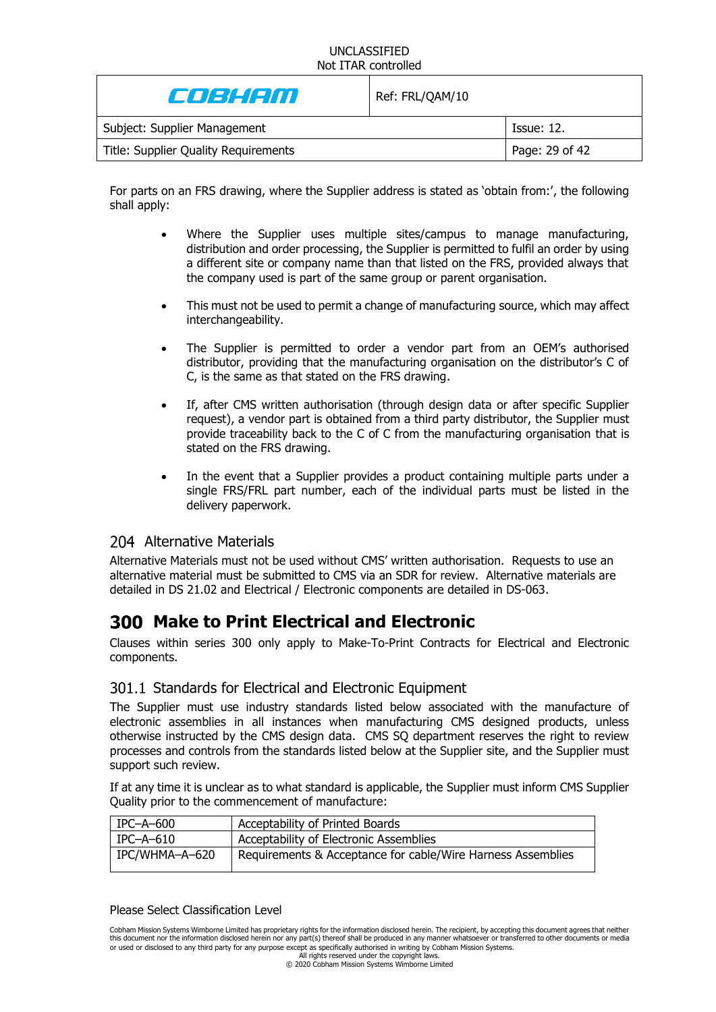| Cost Con                             | Ref: FRL/QAM/10 |                   |
|--------------------------------------|-----------------|-------------------|
| Subject: Supplier Management         |                 | <b>Issue: 12.</b> |
| Title: Supplier Quality Requirements |                 | Page: 29 of 42    |

For parts on an FRS drawing, where the Supplier address is stated as 'obtain from:', the following shall apply:

- Where the Supplier uses multiple sites/campus to manage manufacturing, distribution and order processing, the Supplier is permitted to fulfil an order by using a different site or company name than that listed on the FRS, provided always that the company used is part of the same group or parent organisation.
- This must not be used to permit a change of manufacturing source, which may affect interchangeability.
- The Supplier is permitted to order a vendor part from an OEM's authorised distributor, providing that the manufacturing organisation on the distributor's C of C, is the same as that stated on the FRS drawing.
- If, after CMS written authorisation (through design data or after specific Supplier request), a vendor part is obtained from a third party distributor, the Supplier must provide traceability back to the C of C from the manufacturing organisation that is stated on the FRS drawing.
- In the event that a Supplier provides a product containing multiple parts under a single FRS/FRL part number, each of the individual parts must be listed in the delivery paperwork.

# 204 Alternative Materials

Alternative Materials must not be used without CMS' written authorisation. Requests to use an alternative material must be submitted to CMS via an SDR for review. Alternative materials are detailed in DS 21.02 and Electrical / Electronic components are detailed in DS-063.

# **Make to Print Electrical and Electronic**

Clauses within series 300 only apply to Make-To-Print Contracts for Electrical and Electronic components.

### 301.1 Standards for Electrical and Electronic Equipment

The Supplier must use industry standards listed below associated with the manufacture of electronic assemblies in all instances when manufacturing CMS designed products, unless otherwise instructed by the CMS design data. CMS SQ department reserves the right to review processes and controls from the standards listed below at the Supplier site, and the Supplier must support such review.

If at any time it is unclear as to what standard is applicable, the Supplier must inform CMS Supplier Quality prior to the commencement of manufacture:

| $IPC-A-600$    | Acceptability of Printed Boards                             |
|----------------|-------------------------------------------------------------|
| $IPC$ –A–610   | Acceptability of Electronic Assemblies                      |
| IPC/WHMA-A-620 | Requirements & Acceptance for cable/Wire Harness Assemblies |

#### Please Select Classification Level

Cobham Mission Systems Wimborne Limited has proprietary rights for the information disclosed herein. The recipient, by accepting this document agrees that neither this document nor the information disclosed herein nor any part(s) thereof shall be produced in any manner whatsoever or transferred to other documents or media or used or disclosed to any third party for any purpose except as specifically authorised in writing by Cobham Mission Systems.

All rights reserved under the copyright laws. © 2020 Cobham Mission Systems Wimborne Limited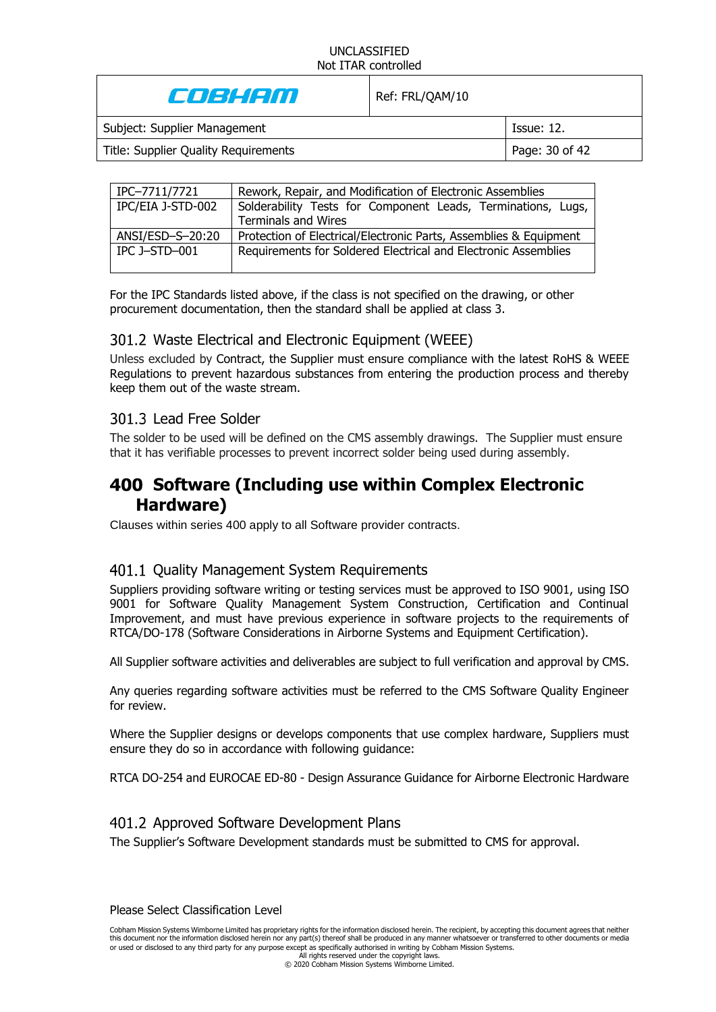CO3HAM Ref: FRL/QAM/10 Subject: Supplier Management **Issue: 12.** Issue: 12. Title: Supplier Quality Requirements Page: 30 of 42

| IPC-7711/7721     | Rework, Repair, and Modification of Electronic Assemblies         |
|-------------------|-------------------------------------------------------------------|
| IPC/EIA J-STD-002 | Solderability Tests for Component Leads, Terminations, Lugs,      |
|                   | <b>Terminals and Wires</b>                                        |
| ANSI/ESD-S-20:20  | Protection of Electrical/Electronic Parts, Assemblies & Equipment |
| IPC J-STD-001     | Requirements for Soldered Electrical and Electronic Assemblies    |
|                   |                                                                   |

For the IPC Standards listed above, if the class is not specified on the drawing, or other procurement documentation, then the standard shall be applied at class 3.

# 301.2 Waste Electrical and Electronic Equipment (WEEE)

Unless excluded by Contract, the Supplier must ensure compliance with the latest RoHS & WEEE Regulations to prevent hazardous substances from entering the production process and thereby keep them out of the waste stream.

### 301.3 Lead Free Solder

The solder to be used will be defined on the CMS assembly drawings. The Supplier must ensure that it has verifiable processes to prevent incorrect solder being used during assembly.

# **Software (Including use within Complex Electronic Hardware)**

Clauses within series 400 apply to all Software provider contracts.

# 401.1 Quality Management System Requirements

Suppliers providing software writing or testing services must be approved to ISO 9001, using ISO 9001 for Software Quality Management System Construction, Certification and Continual Improvement, and must have previous experience in software projects to the requirements of RTCA/DO-178 (Software Considerations in Airborne Systems and Equipment Certification).

All Supplier software activities and deliverables are subject to full verification and approval by CMS.

Any queries regarding software activities must be referred to the CMS Software Quality Engineer for review.

Where the Supplier designs or develops components that use complex hardware, Suppliers must ensure they do so in accordance with following guidance:

RTCA DO-254 and EUROCAE ED-80 - Design Assurance Guidance for Airborne Electronic Hardware

### Approved Software Development Plans

The Supplier's Software Development standards must be submitted to CMS for approval.

Please Select Classification Level

All rights reserved under the copyright laws. © 2020 Cobham Mission Systems Wimborne Limited.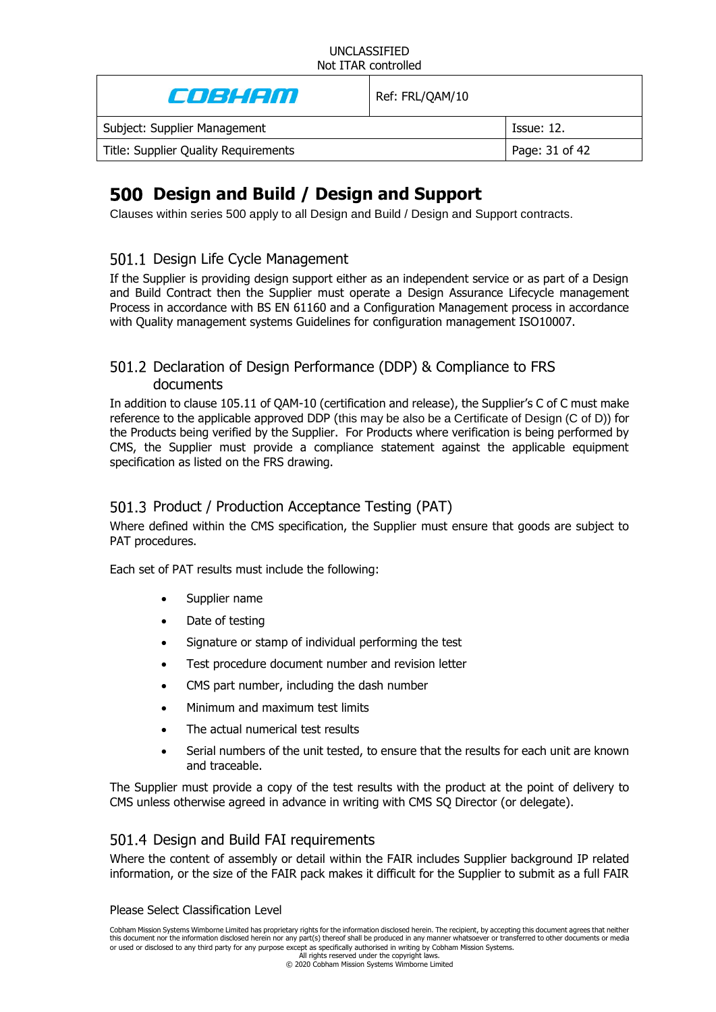| E JEHEM                              | Ref: FRL/QAM/10 |                   |
|--------------------------------------|-----------------|-------------------|
| Subject: Supplier Management         |                 | <b>Issue: 12.</b> |
| Title: Supplier Quality Requirements |                 | Page: 31 of 42    |
|                                      |                 |                   |

# <span id="page-30-0"></span>**Design and Build / Design and Support**

Clauses within series 500 apply to all Design and Build / Design and Support contracts.

# 501.1 Design Life Cycle Management

If the Supplier is providing design support either as an independent service or as part of a Design and Build Contract then the Supplier must operate a Design Assurance Lifecycle management Process in accordance with BS EN 61160 and a Configuration Management process in accordance with Quality management systems Guidelines for configuration management ISO10007.

# 501.2 Declaration of Design Performance (DDP) & Compliance to FRS documents

In addition to clause [105.11](#page-15-0) of QAM-10 (certification and release), the Supplier's C of C must make reference to the applicable approved DDP (this may be also be a Certificate of Design (C of D)) for the Products being verified by the Supplier. For Products where verification is being performed by CMS, the Supplier must provide a compliance statement against the applicable equipment specification as listed on the FRS drawing.

# 501.3 Product / Production Acceptance Testing (PAT)

Where defined within the CMS specification, the Supplier must ensure that goods are subject to PAT procedures.

Each set of PAT results must include the following:

- Supplier name
- Date of testing
- Signature or stamp of individual performing the test
- Test procedure document number and revision letter
- CMS part number, including the dash number
- Minimum and maximum test limits
- The actual numerical test results
- Serial numbers of the unit tested, to ensure that the results for each unit are known and traceable.

The Supplier must provide a copy of the test results with the product at the point of delivery to CMS unless otherwise agreed in advance in writing with CMS SQ Director (or delegate).

# 501.4 Design and Build FAI requirements

Where the content of assembly or detail within the FAIR includes Supplier background IP related information, or the size of the FAIR pack makes it difficult for the Supplier to submit as a full FAIR

#### Please Select Classification Level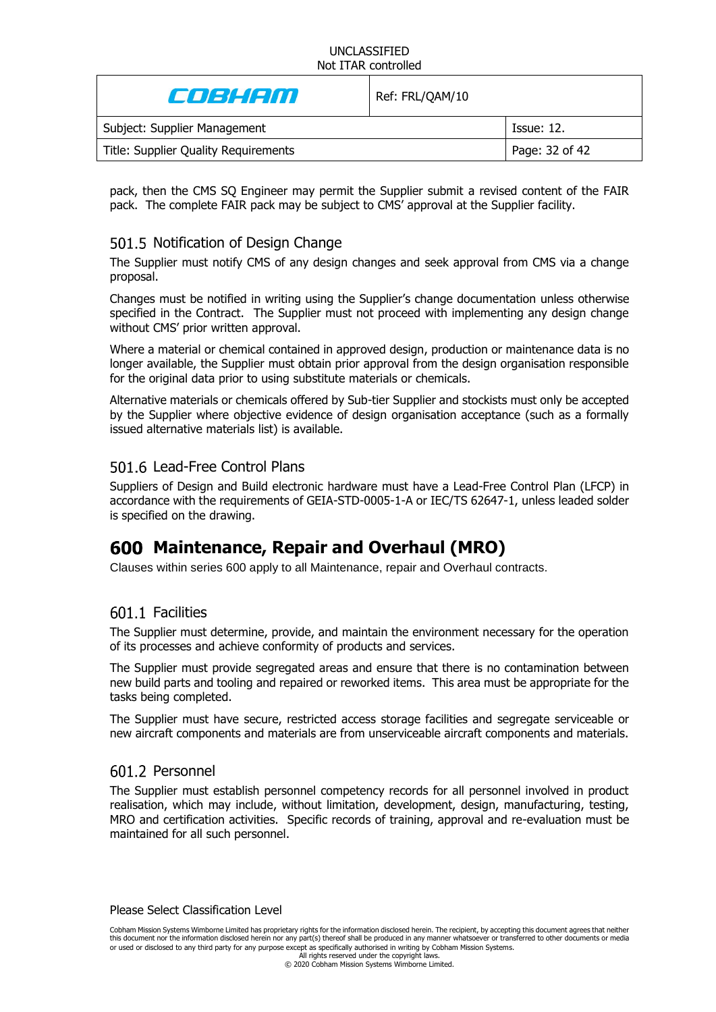| Colaithn                             | Ref: FRL/QAM/10 |                   |
|--------------------------------------|-----------------|-------------------|
| Subject: Supplier Management         |                 | <b>Issue: 12.</b> |
| Title: Supplier Quality Requirements |                 | Page: 32 of 42    |

pack, then the CMS SQ Engineer may permit the Supplier submit a revised content of the FAIR pack. The complete FAIR pack may be subject to CMS' approval at the Supplier facility.

# 501.5 Notification of Design Change

The Supplier must notify CMS of any design changes and seek approval from CMS via a change proposal.

Changes must be notified in writing using the Supplier's change documentation unless otherwise specified in the Contract. The Supplier must not proceed with implementing any design change without CMS' prior written approval.

Where a material or chemical contained in approved design, production or maintenance data is no longer available, the Supplier must obtain prior approval from the design organisation responsible for the original data prior to using substitute materials or chemicals.

Alternative materials or chemicals offered by Sub-tier Supplier and stockists must only be accepted by the Supplier where objective evidence of design organisation acceptance (such as a formally issued alternative materials list) is available.

# 501.6 Lead-Free Control Plans

Suppliers of Design and Build electronic hardware must have a Lead-Free Control Plan (LFCP) in accordance with the requirements of GEIA-STD-0005-1-A or IEC/TS 62647-1, unless leaded solder is specified on the drawing.

# **Maintenance, Repair and Overhaul (MRO)**

Clauses within series 600 apply to all Maintenance, repair and Overhaul contracts.

# 601.1 Facilities

The Supplier must determine, provide, and maintain the environment necessary for the operation of its processes and achieve conformity of products and services.

The Supplier must provide segregated areas and ensure that there is no contamination between new build parts and tooling and repaired or reworked items. This area must be appropriate for the tasks being completed.

The Supplier must have secure, restricted access storage facilities and segregate serviceable or new aircraft components and materials are from unserviceable aircraft components and materials.

# 601.2 Personnel

The Supplier must establish personnel competency records for all personnel involved in product realisation, which may include, without limitation, development, design, manufacturing, testing, MRO and certification activities. Specific records of training, approval and re-evaluation must be maintained for all such personnel.

Please Select Classification Level

Cobham Mission Systems Wimborne Limited has proprietary rights for the information disclosed herein. The recipient, by accepting this document agrees that neither this document nor the information disclosed herein nor any part(s) thereof shall be produced in any manner whatsoever or transferred to other documents or media or used or disclosed to any third party for any purpose except as specifically authorised in writing by Cobham Mission Systems.

All rights reserved under the copyright laws. © 2020 Cobham Mission Systems Wimborne Limited.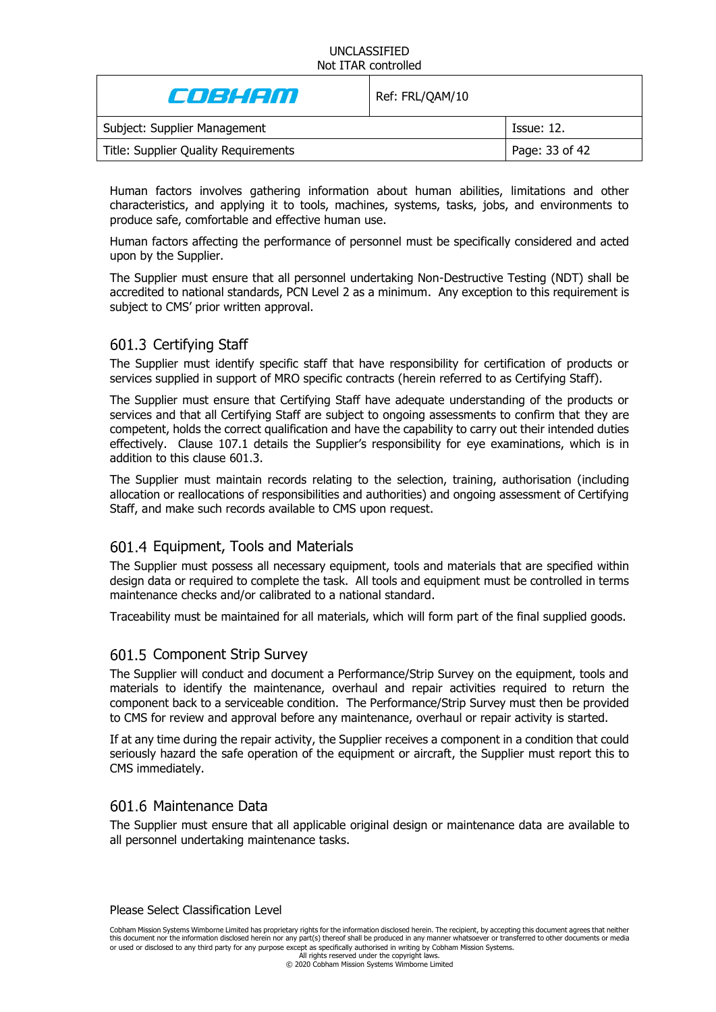| Coleienn                             | Ref: FRL/QAM/10 |                   |
|--------------------------------------|-----------------|-------------------|
| Subject: Supplier Management         |                 | <b>Issue: 12.</b> |
| Title: Supplier Quality Requirements |                 | Page: 33 of 42    |

Human factors involves gathering information about human abilities, limitations and other characteristics, and applying it to tools, machines, systems, tasks, jobs, and environments to produce safe, comfortable and effective human use.

Human factors affecting the performance of personnel must be specifically considered and acted upon by the Supplier.

The Supplier must ensure that all personnel undertaking Non-Destructive Testing (NDT) shall be accredited to national standards, PCN Level 2 as a minimum. Any exception to this requirement is subject to CMS' prior written approval.

# <span id="page-32-0"></span>601.3 Certifying Staff

The Supplier must identify specific staff that have responsibility for certification of products or services supplied in support of MRO specific contracts (herein referred to as Certifying Staff).

The Supplier must ensure that Certifying Staff have adequate understanding of the products or services and that all Certifying Staff are subject to ongoing assessments to confirm that they are competent, holds the correct qualification and have the capability to carry out their intended duties effectively. Clause 107.1 details the Supplier's responsibility for eye examinations, which is in addition to this clause 601.3.

The Supplier must maintain records relating to the selection, training, authorisation (including allocation or reallocations of responsibilities and authorities) and ongoing assessment of Certifying Staff, and make such records available to CMS upon request.

# 601.4 Equipment, Tools and Materials

The Supplier must possess all necessary equipment, tools and materials that are specified within design data or required to complete the task. All tools and equipment must be controlled in terms maintenance checks and/or calibrated to a national standard.

Traceability must be maintained for all materials, which will form part of the final supplied goods.

### 601.5 Component Strip Survey

The Supplier will conduct and document a Performance/Strip Survey on the equipment, tools and materials to identify the maintenance, overhaul and repair activities required to return the component back to a serviceable condition. The Performance/Strip Survey must then be provided to CMS for review and approval before any maintenance, overhaul or repair activity is started.

If at any time during the repair activity, the Supplier receives a component in a condition that could seriously hazard the safe operation of the equipment or aircraft, the Supplier must report this to CMS immediately.

### 601.6 Maintenance Data

The Supplier must ensure that all applicable original design or maintenance data are available to all personnel undertaking maintenance tasks.

Please Select Classification Level

Cobham Mission Systems Wimborne Limited has proprietary rights for the information disclosed herein. The recipient, by accepting this document agrees that neither this document nor the information disclosed herein nor any part(s) thereof shall be produced in any manner whatsoever or transferred to other documents or media or used or disclosed to any third party for any purpose except as specifically authorised in writing by Cobham Mission Systems.

All rights reserved under the copyright laws. © 2020 Cobham Mission Systems Wimborne Limited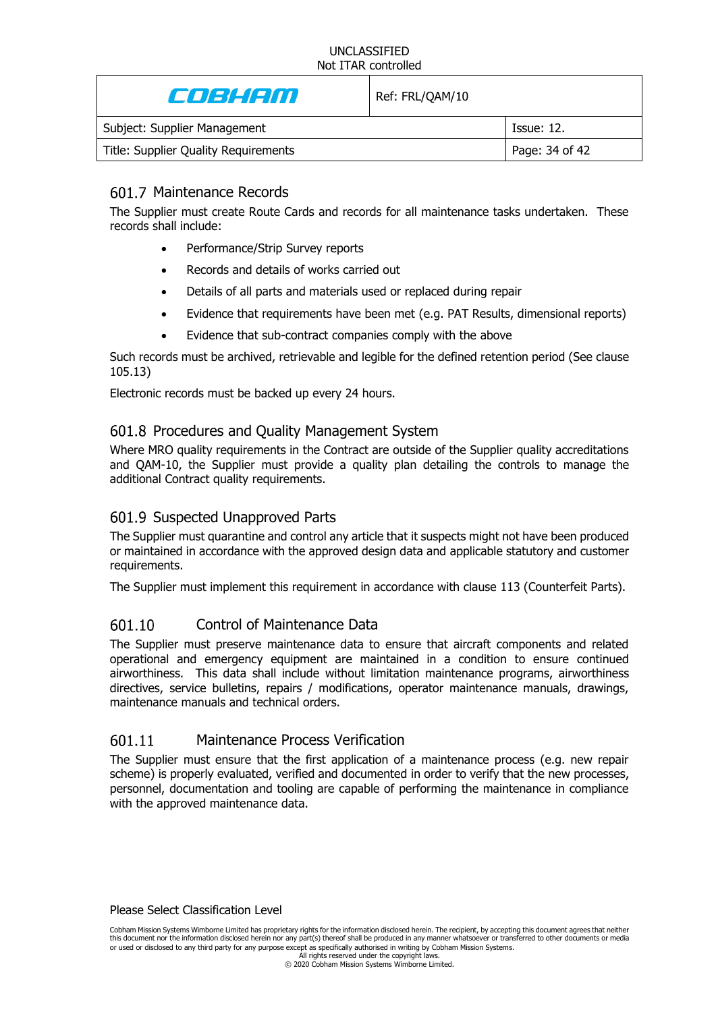| E JE HETTI                           | Ref: FRL/QAM/10 |                   |
|--------------------------------------|-----------------|-------------------|
| Subject: Supplier Management         |                 | <b>Issue: 12.</b> |
| Title: Supplier Quality Requirements |                 | Page: 34 of 42    |
|                                      |                 |                   |

# 601.7 Maintenance Records

The Supplier must create Route Cards and records for all maintenance tasks undertaken. These records shall include:

- Performance/Strip Survey reports
- Records and details of works carried out
- Details of all parts and materials used or replaced during repair
- Evidence that requirements have been met (e.g. PAT Results, dimensional reports)
- Evidence that sub-contract companies comply with the above

Such records must be archived, retrievable and legible for the defined retention period (See clause [105.13\)](#page-19-1)

Electronic records must be backed up every 24 hours.

# 601.8 Procedures and Quality Management System

Where MRO quality requirements in the Contract are outside of the Supplier quality accreditations and QAM-10, the Supplier must provide a quality plan detailing the controls to manage the additional Contract quality requirements.

# 601.9 Suspected Unapproved Parts

The Supplier must quarantine and control any article that it suspects might not have been produced or maintained in accordance with the approved design data and applicable statutory and customer requirements.

The Supplier must implement this requirement in accordance with clause [113](#page-25-0) (Counterfeit Parts).

#### 601.10 Control of Maintenance Data

The Supplier must preserve maintenance data to ensure that aircraft components and related operational and emergency equipment are maintained in a condition to ensure continued airworthiness. This data shall include without limitation maintenance programs, airworthiness directives, service bulletins, repairs / modifications, operator maintenance manuals, drawings, maintenance manuals and technical orders.

#### 601.11 Maintenance Process Verification

The Supplier must ensure that the first application of a maintenance process (e.g. new repair scheme) is properly evaluated, verified and documented in order to verify that the new processes, personnel, documentation and tooling are capable of performing the maintenance in compliance with the approved maintenance data.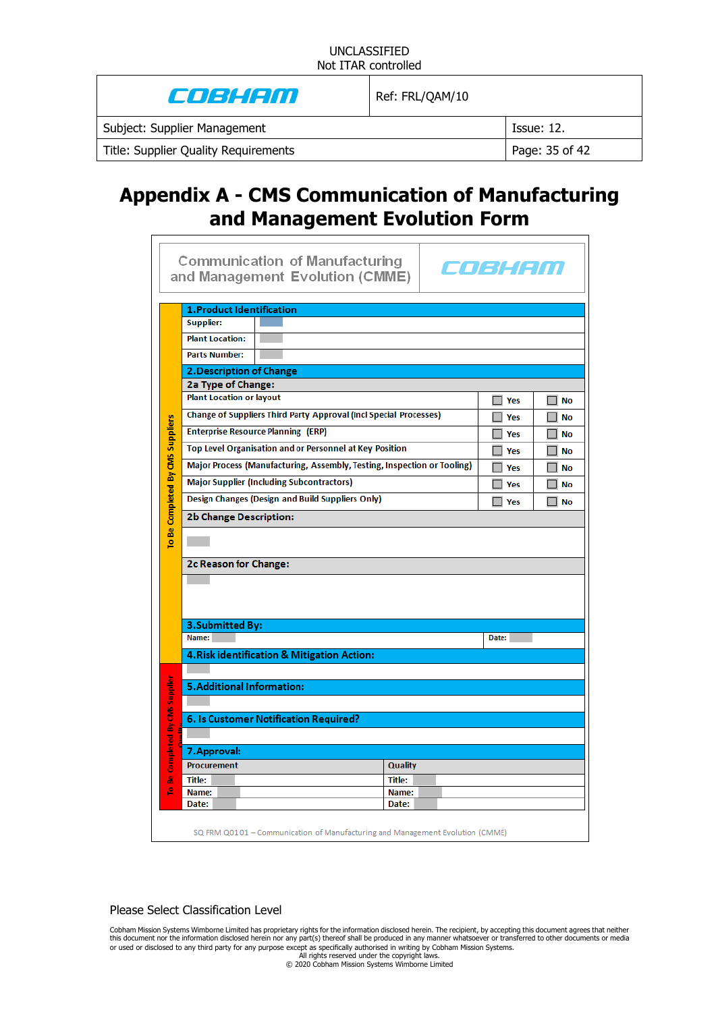| Colean and the Coleman of the Coleman of the Coleman of the Coleman of the Coleman of the Coleman of the Colem | Ref: FRL/QAM/10 |                   |
|----------------------------------------------------------------------------------------------------------------|-----------------|-------------------|
| Subject: Supplier Management                                                                                   |                 | <b>Issue: 12.</b> |
| Title: Supplier Quality Requirements                                                                           |                 | Page: 35 of 42    |

# **Appendix A - CMS Communication of Manufacturing and Management Evolution Form**

|                                  |                                  | <b>Communication of Manufacturing</b><br>and Management Evolution (CMME)      |  | COBHAN     |                            |
|----------------------------------|----------------------------------|-------------------------------------------------------------------------------|--|------------|----------------------------|
|                                  | <b>1.Product Identification</b>  |                                                                               |  |            |                            |
|                                  | <b>Supplier:</b>                 |                                                                               |  |            |                            |
|                                  | <b>Plant Location:</b>           |                                                                               |  |            |                            |
|                                  | <b>Parts Number:</b>             |                                                                               |  |            |                            |
|                                  | 2. Description of Change         |                                                                               |  |            |                            |
|                                  | 2a Type of Change:               |                                                                               |  |            |                            |
|                                  | <b>Plant Location or layout</b>  |                                                                               |  | $\Box$ Yes | <b>No</b>                  |
|                                  |                                  | <b>Change of Suppliers Third Party Approval (Incl Special Processes)</b>      |  | $\Box$ Yes | <b>No</b>                  |
|                                  |                                  | <b>Enterprise Resource Planning (ERP)</b>                                     |  | $\Box$ Yes | <b>No</b>                  |
|                                  |                                  | <b>Top Level Organisation and or Personnel at Key Position</b>                |  | $\Box$ Yes | <b>No</b>                  |
| To Be Completed By CMS Suppliers |                                  | Major Process (Manufacturing, Assembly, Testing, Inspection or Tooling)       |  | $\Box$ Yes | No                         |
|                                  |                                  | <b>Major Supplier (Including Subcontractors)</b>                              |  | $\Box$ Yes | <b>Talent</b><br><b>No</b> |
|                                  |                                  | Design Changes (Design and Build Suppliers Only)                              |  | $\Box$ Yes | $\Box$ No                  |
|                                  | <b>2b Change Description:</b>    |                                                                               |  |            |                            |
|                                  |                                  |                                                                               |  |            |                            |
|                                  |                                  |                                                                               |  |            |                            |
|                                  | 2c Reason for Change:            |                                                                               |  |            |                            |
|                                  |                                  |                                                                               |  |            |                            |
|                                  |                                  |                                                                               |  |            |                            |
|                                  |                                  |                                                                               |  |            |                            |
|                                  | 3. Submitted By:<br>Name:        |                                                                               |  | Date:      |                            |
|                                  |                                  |                                                                               |  |            |                            |
|                                  |                                  | 4. Risk identification & Mitigation Action:                                   |  |            |                            |
|                                  |                                  |                                                                               |  |            |                            |
|                                  | <b>5.Additional Information:</b> |                                                                               |  |            |                            |
|                                  | Be Completed By CIVS Supplier    |                                                                               |  |            |                            |
|                                  |                                  | 6. Is Customer Notification Required?                                         |  |            |                            |
|                                  |                                  |                                                                               |  |            |                            |
|                                  | 7. Approval:                     |                                                                               |  |            |                            |
|                                  | <b>Procurement</b>               | <b>Quality</b>                                                                |  |            |                            |
| 으                                | <b>Title:</b><br>Name:           | Title:<br>Name:                                                               |  |            |                            |
|                                  | Date:                            | Date:                                                                         |  |            |                            |
|                                  |                                  | SQ FRM Q0101 - Communication of Manufacturing and Management Evolution (CMME) |  |            |                            |

#### Please Select Classification Level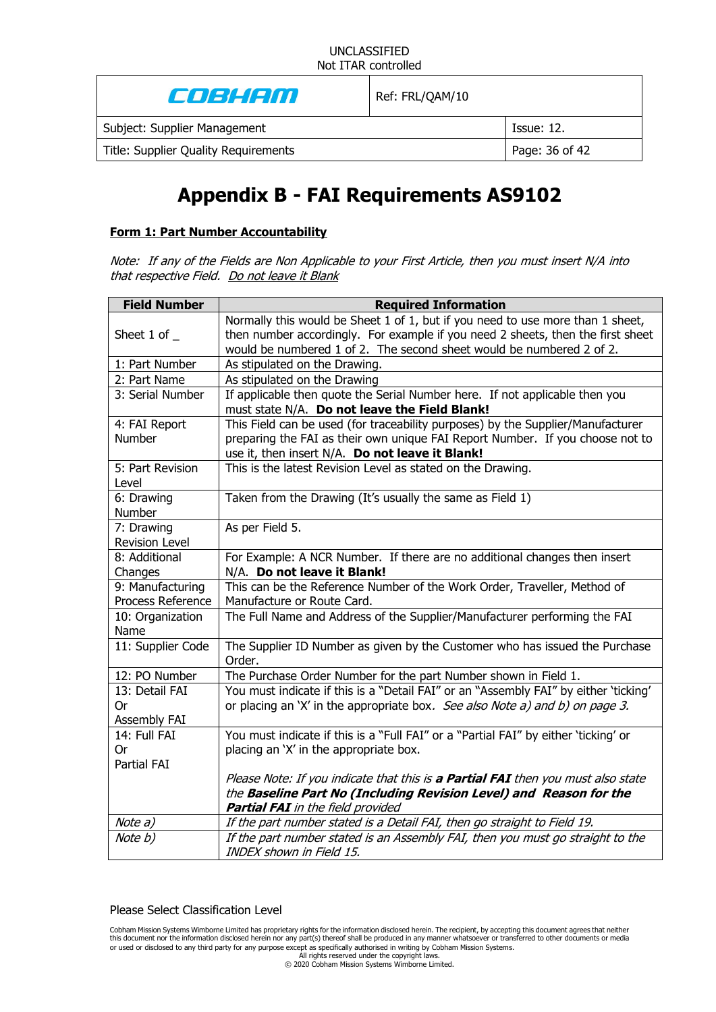| e de la con                          | Ref: FRL/QAM/10 |                |
|--------------------------------------|-----------------|----------------|
| Subject: Supplier Management         |                 | Issue: 12.     |
| Title: Supplier Quality Requirements |                 | Page: 36 of 42 |
|                                      |                 |                |

# **Appendix B - FAI Requirements AS9102**

#### **Form 1: Part Number Accountability**

Note: If any of the Fields are Non Applicable to your First Article, then you must insert N/A into that respective Field. Do not leave it Blank

| <b>Field Number</b>                 | <b>Required Information</b>                                                                                                                                                                                                               |
|-------------------------------------|-------------------------------------------------------------------------------------------------------------------------------------------------------------------------------------------------------------------------------------------|
| Sheet 1 of $\_$                     | Normally this would be Sheet 1 of 1, but if you need to use more than 1 sheet,<br>then number accordingly. For example if you need 2 sheets, then the first sheet<br>would be numbered 1 of 2. The second sheet would be numbered 2 of 2. |
| 1: Part Number                      | As stipulated on the Drawing.                                                                                                                                                                                                             |
| 2: Part Name                        | As stipulated on the Drawing                                                                                                                                                                                                              |
| 3: Serial Number                    | If applicable then quote the Serial Number here. If not applicable then you<br>must state N/A. Do not leave the Field Blank!                                                                                                              |
| 4: FAI Report<br><b>Number</b>      | This Field can be used (for traceability purposes) by the Supplier/Manufacturer<br>preparing the FAI as their own unique FAI Report Number. If you choose not to<br>use it, then insert N/A. Do not leave it Blank!                       |
| 5: Part Revision<br>Level           | This is the latest Revision Level as stated on the Drawing.                                                                                                                                                                               |
| 6: Drawing<br>Number                | Taken from the Drawing (It's usually the same as Field 1)                                                                                                                                                                                 |
| 7: Drawing<br><b>Revision Level</b> | As per Field 5.                                                                                                                                                                                                                           |
| 8: Additional<br>Changes            | For Example: A NCR Number. If there are no additional changes then insert<br>N/A. Do not leave it Blank!                                                                                                                                  |
| 9: Manufacturing                    | This can be the Reference Number of the Work Order, Traveller, Method of                                                                                                                                                                  |
| Process Reference                   | Manufacture or Route Card.                                                                                                                                                                                                                |
| 10: Organization<br>Name            | The Full Name and Address of the Supplier/Manufacturer performing the FAI                                                                                                                                                                 |
| 11: Supplier Code                   | The Supplier ID Number as given by the Customer who has issued the Purchase<br>Order.                                                                                                                                                     |
| 12: PO Number                       | The Purchase Order Number for the part Number shown in Field 1.                                                                                                                                                                           |
| 13: Detail FAI                      | You must indicate if this is a "Detail FAI" or an "Assembly FAI" by either 'ticking'                                                                                                                                                      |
| 0r                                  | or placing an 'X' in the appropriate box. See also Note a) and b) on page 3.                                                                                                                                                              |
| Assembly FAI                        |                                                                                                                                                                                                                                           |
| 14: Full FAI                        | You must indicate if this is a "Full FAI" or a "Partial FAI" by either 'ticking' or                                                                                                                                                       |
| 0r                                  | placing an 'X' in the appropriate box.                                                                                                                                                                                                    |
| Partial FAI                         |                                                                                                                                                                                                                                           |
|                                     | Please Note: If you indicate that this is a Partial FAI then you must also state                                                                                                                                                          |
|                                     | the Baseline Part No (Including Revision Level) and Reason for the<br><b>Partial FAI</b> in the field provided                                                                                                                            |
| Note a)                             | If the part number stated is a Detail FAI, then go straight to Field 19.                                                                                                                                                                  |
| Note b)                             | If the part number stated is an Assembly FAI, then you must go straight to the<br>INDEX shown in Field 15.                                                                                                                                |

Please Select Classification Level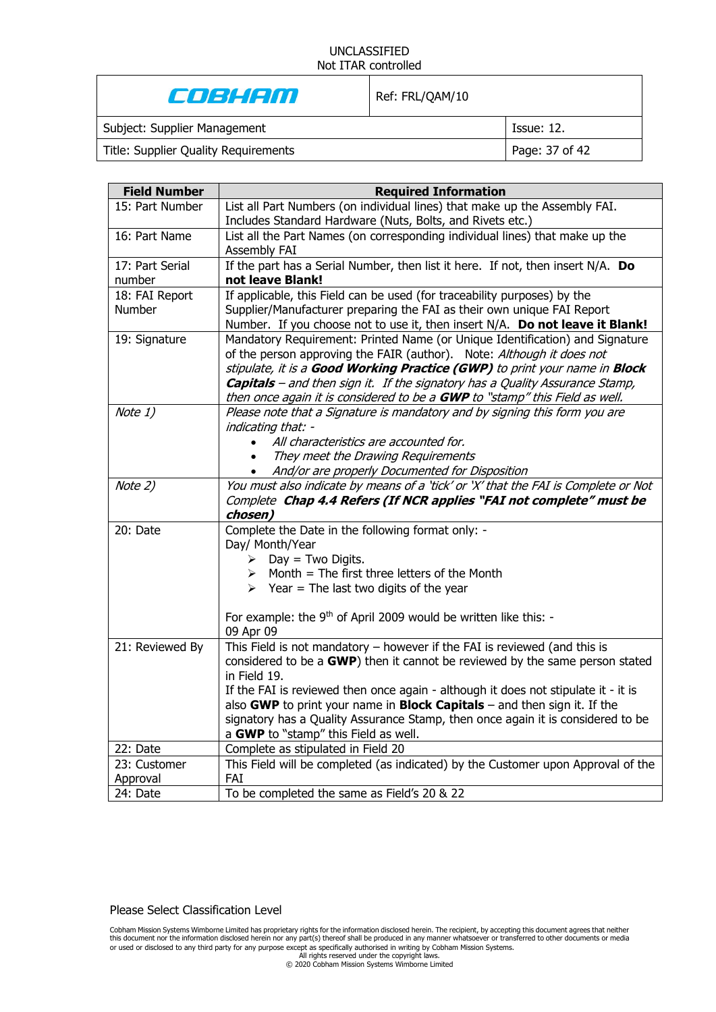COBHAM

Ref: FRL/QAM/10

Subject: Supplier Management **Issue: 12.** Issue: 12.

Title: Supplier Quality Requirements Page: 37 of 42

| <b>Field Number</b> | <b>Required Information</b>                                                                                                                                                                                                                                                                                                                                                                               |
|---------------------|-----------------------------------------------------------------------------------------------------------------------------------------------------------------------------------------------------------------------------------------------------------------------------------------------------------------------------------------------------------------------------------------------------------|
| 15: Part Number     | List all Part Numbers (on individual lines) that make up the Assembly FAI.                                                                                                                                                                                                                                                                                                                                |
|                     | Includes Standard Hardware (Nuts, Bolts, and Rivets etc.)                                                                                                                                                                                                                                                                                                                                                 |
| 16: Part Name       | List all the Part Names (on corresponding individual lines) that make up the<br>Assembly FAI                                                                                                                                                                                                                                                                                                              |
| 17: Part Serial     | If the part has a Serial Number, then list it here. If not, then insert N/A. Do                                                                                                                                                                                                                                                                                                                           |
| number              | not leave Blank!                                                                                                                                                                                                                                                                                                                                                                                          |
| 18: FAI Report      | If applicable, this Field can be used (for traceability purposes) by the                                                                                                                                                                                                                                                                                                                                  |
| Number              | Supplier/Manufacturer preparing the FAI as their own unique FAI Report                                                                                                                                                                                                                                                                                                                                    |
|                     | Number. If you choose not to use it, then insert N/A. Do not leave it Blank!                                                                                                                                                                                                                                                                                                                              |
| 19: Signature       | Mandatory Requirement: Printed Name (or Unique Identification) and Signature<br>of the person approving the FAIR (author). Note: Although it does not<br>stipulate, it is a Good Working Practice (GWP) to print your name in Block<br><b>Capitals</b> – and then sign it. If the signatory has a Quality Assurance Stamp,<br>then once again it is considered to be a GWP to "stamp" this Field as well. |
| Note 1)             | Please note that a Signature is mandatory and by signing this form you are<br>indicating that: -<br>All characteristics are accounted for.<br>$\bullet$<br>They meet the Drawing Requirements<br>$\bullet$<br>And/or are properly Documented for Disposition                                                                                                                                              |
| Note 2)             | You must also indicate by means of a 'tick' or 'X' that the FAI is Complete or Not                                                                                                                                                                                                                                                                                                                        |
|                     | Complete Chap 4.4 Refers (If NCR applies "FAI not complete" must be<br>chosen)                                                                                                                                                                                                                                                                                                                            |
| 20: Date            | Complete the Date in the following format only: -                                                                                                                                                                                                                                                                                                                                                         |
|                     | Day/ Month/Year<br>$\triangleright$ Day = Two Digits.                                                                                                                                                                                                                                                                                                                                                     |
|                     | $\triangleright$ Month = The first three letters of the Month                                                                                                                                                                                                                                                                                                                                             |
|                     | $\triangleright$ Year = The last two digits of the year                                                                                                                                                                                                                                                                                                                                                   |
|                     |                                                                                                                                                                                                                                                                                                                                                                                                           |
|                     | For example: the 9 <sup>th</sup> of April 2009 would be written like this: -<br>09 Apr 09                                                                                                                                                                                                                                                                                                                 |
| 21: Reviewed By     | This Field is not mandatory - however if the FAI is reviewed (and this is                                                                                                                                                                                                                                                                                                                                 |
|                     | considered to be a GWP) then it cannot be reviewed by the same person stated<br>in Field 19.                                                                                                                                                                                                                                                                                                              |
|                     | If the FAI is reviewed then once again - although it does not stipulate it - it is                                                                                                                                                                                                                                                                                                                        |
|                     | also GWP to print your name in Block Capitals - and then sign it. If the                                                                                                                                                                                                                                                                                                                                  |
|                     | signatory has a Quality Assurance Stamp, then once again it is considered to be                                                                                                                                                                                                                                                                                                                           |
|                     | a GWP to "stamp" this Field as well.                                                                                                                                                                                                                                                                                                                                                                      |
| 22: Date            | Complete as stipulated in Field 20                                                                                                                                                                                                                                                                                                                                                                        |
| 23: Customer        | This Field will be completed (as indicated) by the Customer upon Approval of the                                                                                                                                                                                                                                                                                                                          |
| Approval            | FAI                                                                                                                                                                                                                                                                                                                                                                                                       |
| 24: Date            | To be completed the same as Field's 20 & 22                                                                                                                                                                                                                                                                                                                                                               |

Please Select Classification Level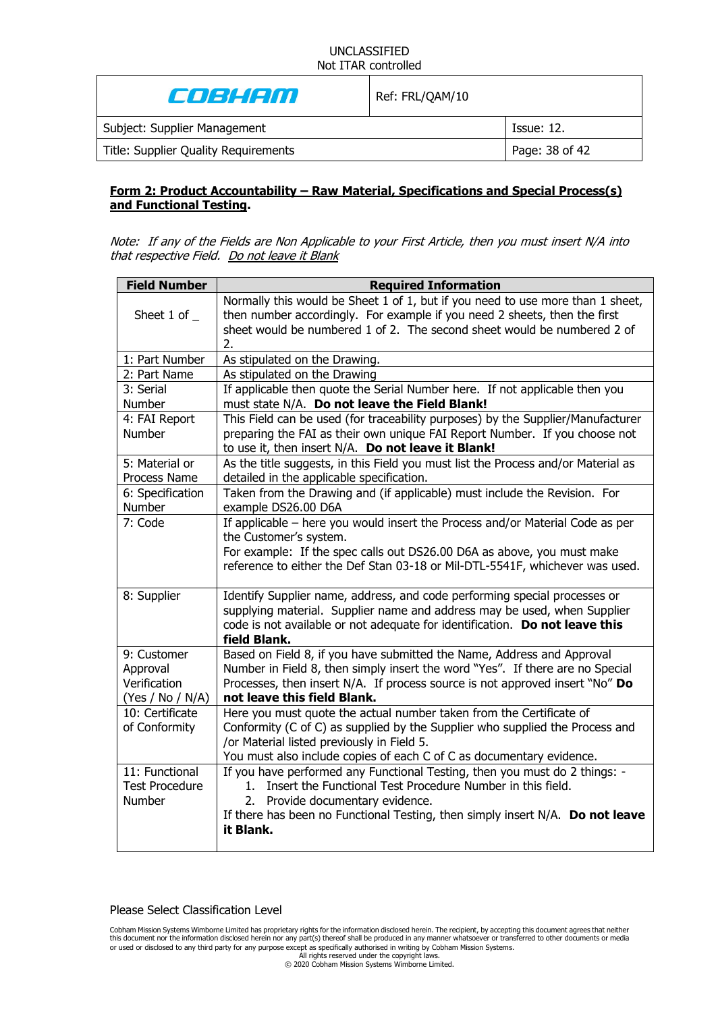| Coshem                               | Ref: FRL/QAM/10 |                |
|--------------------------------------|-----------------|----------------|
| Subject: Supplier Management         |                 | Issue: 12.     |
| Title: Supplier Quality Requirements |                 | Page: 38 of 42 |

### **Form 2: Product Accountability – Raw Material, Specifications and Special Process(s) and Functional Testing.**

Note: If any of the Fields are Non Applicable to your First Article, then you must insert N/A into that respective Field. Do not leave it Blank

| <b>Field Number</b>                                         | <b>Required Information</b>                                                                                                                                                                                                                                                   |
|-------------------------------------------------------------|-------------------------------------------------------------------------------------------------------------------------------------------------------------------------------------------------------------------------------------------------------------------------------|
| Sheet 1 of $\_$                                             | Normally this would be Sheet 1 of 1, but if you need to use more than 1 sheet,<br>then number accordingly. For example if you need 2 sheets, then the first<br>sheet would be numbered 1 of 2. The second sheet would be numbered 2 of<br>2.                                  |
| 1: Part Number                                              | As stipulated on the Drawing.                                                                                                                                                                                                                                                 |
| 2: Part Name                                                | As stipulated on the Drawing                                                                                                                                                                                                                                                  |
| 3: Serial                                                   | If applicable then quote the Serial Number here. If not applicable then you                                                                                                                                                                                                   |
| Number                                                      | must state N/A. Do not leave the Field Blank!                                                                                                                                                                                                                                 |
| 4: FAI Report<br><b>Number</b>                              | This Field can be used (for traceability purposes) by the Supplier/Manufacturer<br>preparing the FAI as their own unique FAI Report Number. If you choose not<br>to use it, then insert N/A. Do not leave it Blank!                                                           |
| 5: Material or<br>Process Name                              | As the title suggests, in this Field you must list the Process and/or Material as<br>detailed in the applicable specification.                                                                                                                                                |
| 6: Specification<br>Number                                  | Taken from the Drawing and (if applicable) must include the Revision. For<br>example DS26.00 D6A                                                                                                                                                                              |
| 7: Code                                                     | If applicable - here you would insert the Process and/or Material Code as per<br>the Customer's system.<br>For example: If the spec calls out DS26.00 D6A as above, you must make<br>reference to either the Def Stan 03-18 or Mil-DTL-5541F, whichever was used.             |
| 8: Supplier                                                 | Identify Supplier name, address, and code performing special processes or<br>supplying material. Supplier name and address may be used, when Supplier<br>code is not available or not adequate for identification. Do not leave this<br>field Blank.                          |
| 9: Customer<br>Approval<br>Verification<br>(Yes / No / N/A) | Based on Field 8, if you have submitted the Name, Address and Approval<br>Number in Field 8, then simply insert the word "Yes". If there are no Special<br>Processes, then insert N/A. If process source is not approved insert "No" Do<br>not leave this field Blank.        |
| 10: Certificate<br>of Conformity                            | Here you must quote the actual number taken from the Certificate of<br>Conformity (C of C) as supplied by the Supplier who supplied the Process and<br>/or Material listed previously in Field 5.<br>You must also include copies of each C of C as documentary evidence.     |
| 11: Functional<br><b>Test Procedure</b><br>Number           | If you have performed any Functional Testing, then you must do 2 things: -<br>1. Insert the Functional Test Procedure Number in this field.<br>2. Provide documentary evidence.<br>If there has been no Functional Testing, then simply insert N/A. Do not leave<br>it Blank. |

Please Select Classification Level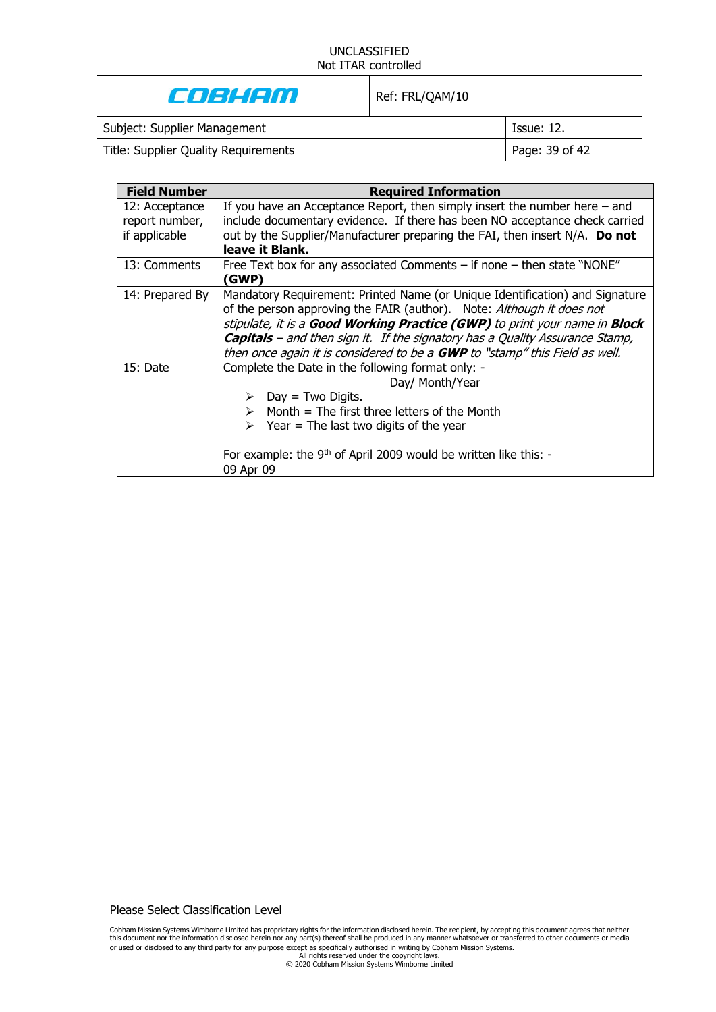| e de la con                          | Ref: FRL/QAM/10 |                   |
|--------------------------------------|-----------------|-------------------|
| Subject: Supplier Management         |                 | <b>Issue: 12.</b> |
| Title: Supplier Quality Requirements |                 | Page: 39 of 42    |
|                                      |                 |                   |

| <b>Field Number</b>                               | <b>Required Information</b>                                                                                                                                                                                                                                                                                                                                                                               |
|---------------------------------------------------|-----------------------------------------------------------------------------------------------------------------------------------------------------------------------------------------------------------------------------------------------------------------------------------------------------------------------------------------------------------------------------------------------------------|
| 12: Acceptance<br>report number,<br>if applicable | If you have an Acceptance Report, then simply insert the number here $-$ and<br>include documentary evidence. If there has been NO acceptance check carried<br>out by the Supplier/Manufacturer preparing the FAI, then insert N/A. Do not<br>leave it Blank.                                                                                                                                             |
| 13: Comments                                      | Free Text box for any associated Comments $-$ if none $-$ then state "NONE"<br>(GWP)                                                                                                                                                                                                                                                                                                                      |
| 14: Prepared By                                   | Mandatory Requirement: Printed Name (or Unique Identification) and Signature<br>of the person approving the FAIR (author). Note: Although it does not<br>stipulate, it is a Good Working Practice (GWP) to print your name in Block<br><b>Capitals</b> – and then sign it. If the signatory has a Quality Assurance Stamp,<br>then once again it is considered to be a GWP to "stamp" this Field as well. |
| 15: Date                                          | Complete the Date in the following format only: -<br>Day/ Month/Year<br>$Day = Two Digits.$<br>$\triangleright$ Month = The first three letters of the Month<br>$\triangleright$ Year = The last two digits of the year<br>For example: the 9 <sup>th</sup> of April 2009 would be written like this: -<br>09 Apr 09                                                                                      |

Please Select Classification Level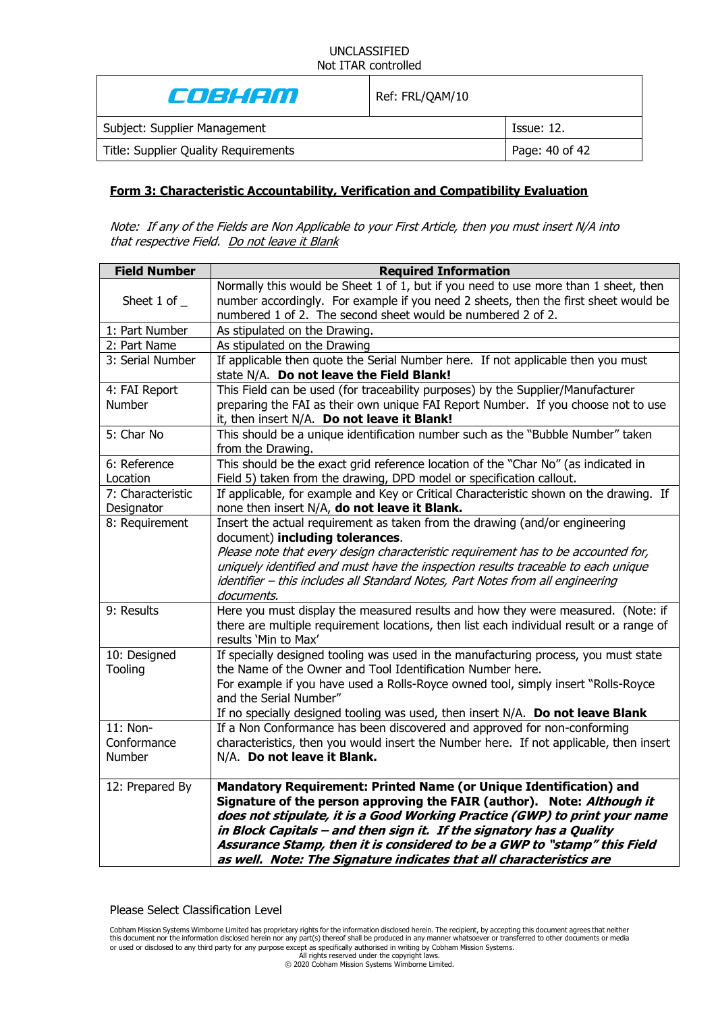| Cost Con                             | Ref: FRL/QAM/10 |                |
|--------------------------------------|-----------------|----------------|
| Subject: Supplier Management         |                 | Tssue: 12.     |
| Title: Supplier Quality Requirements |                 | Page: 40 of 42 |
|                                      |                 |                |

### **Form 3: Characteristic Accountability, Verification and Compatibility Evaluation**

Note: If any of the Fields are Non Applicable to your First Article, then you must insert N/A into that respective Field. Do not leave it Blank

| <b>Field Number</b>               | <b>Required Information</b>                                                                                                                                                                                                                                                                                                                                                                                                                           |
|-----------------------------------|-------------------------------------------------------------------------------------------------------------------------------------------------------------------------------------------------------------------------------------------------------------------------------------------------------------------------------------------------------------------------------------------------------------------------------------------------------|
| Sheet 1 of $\_$                   | Normally this would be Sheet 1 of 1, but if you need to use more than 1 sheet, then<br>number accordingly. For example if you need 2 sheets, then the first sheet would be<br>numbered 1 of 2. The second sheet would be numbered 2 of 2.                                                                                                                                                                                                             |
| 1: Part Number                    | As stipulated on the Drawing.                                                                                                                                                                                                                                                                                                                                                                                                                         |
| 2: Part Name                      | As stipulated on the Drawing                                                                                                                                                                                                                                                                                                                                                                                                                          |
| 3: Serial Number                  | If applicable then quote the Serial Number here. If not applicable then you must<br>state N/A. Do not leave the Field Blank!                                                                                                                                                                                                                                                                                                                          |
| 4: FAI Report<br>Number           | This Field can be used (for traceability purposes) by the Supplier/Manufacturer<br>preparing the FAI as their own unique FAI Report Number. If you choose not to use<br>it, then insert N/A. Do not leave it Blank!                                                                                                                                                                                                                                   |
| 5: Char No                        | This should be a unique identification number such as the "Bubble Number" taken<br>from the Drawing.                                                                                                                                                                                                                                                                                                                                                  |
| 6: Reference<br>Location          | This should be the exact grid reference location of the "Char No" (as indicated in<br>Field 5) taken from the drawing, DPD model or specification callout.                                                                                                                                                                                                                                                                                            |
| 7: Characteristic<br>Designator   | If applicable, for example and Key or Critical Characteristic shown on the drawing. If<br>none then insert N/A, do not leave it Blank.                                                                                                                                                                                                                                                                                                                |
| 8: Requirement                    | Insert the actual requirement as taken from the drawing (and/or engineering<br>document) including tolerances.<br>Please note that every design characteristic requirement has to be accounted for,<br>uniquely identified and must have the inspection results traceable to each unique<br>identifier - this includes all Standard Notes, Part Notes from all engineering<br>documents.                                                              |
| 9: Results                        | Here you must display the measured results and how they were measured. (Note: if<br>there are multiple requirement locations, then list each individual result or a range of<br>results 'Min to Max'                                                                                                                                                                                                                                                  |
| 10: Designed<br>Tooling           | If specially designed tooling was used in the manufacturing process, you must state<br>the Name of the Owner and Tool Identification Number here.<br>For example if you have used a Rolls-Royce owned tool, simply insert "Rolls-Royce"<br>and the Serial Number"<br>If no specially designed tooling was used, then insert N/A. Do not leave Blank                                                                                                   |
| 11: Non-<br>Conformance<br>Number | If a Non Conformance has been discovered and approved for non-conforming<br>characteristics, then you would insert the Number here. If not applicable, then insert<br>N/A. Do not leave it Blank.                                                                                                                                                                                                                                                     |
| 12: Prepared By                   | Mandatory Requirement: Printed Name (or Unique Identification) and<br>Signature of the person approving the FAIR (author). Note: Although it<br>does not stipulate, it is a Good Working Practice (GWP) to print your name<br>in Block Capitals - and then sign it. If the signatory has a Quality<br>Assurance Stamp, then it is considered to be a GWP to "stamp" this Field<br>as well. Note: The Signature indicates that all characteristics are |

Please Select Classification Level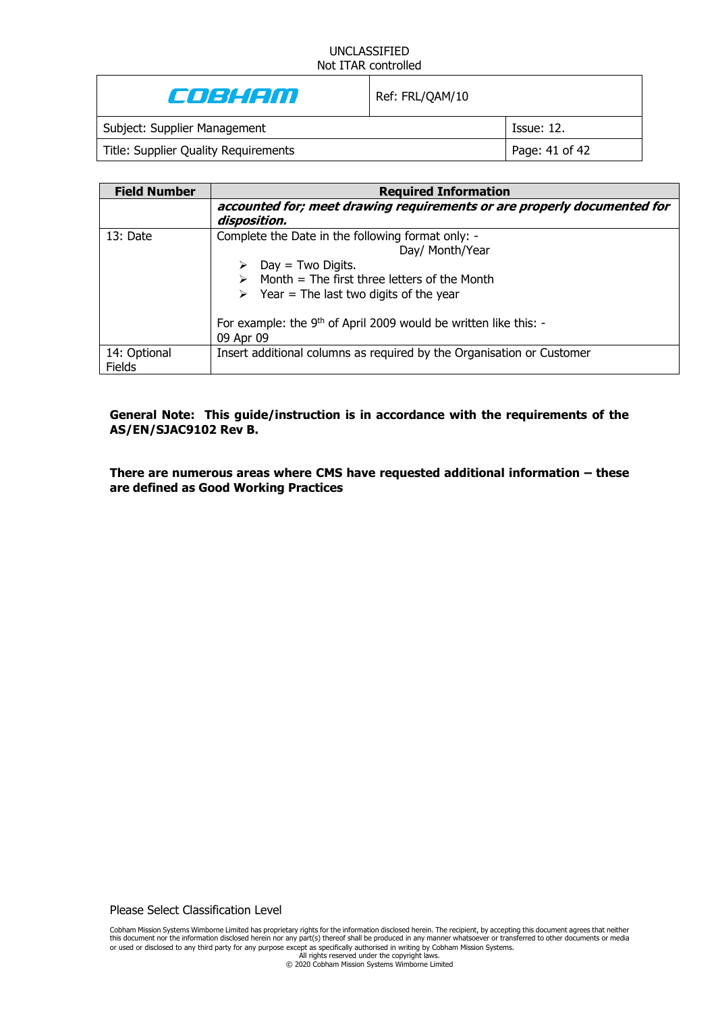| Coshem                               | Ref: FRL/QAM/10 |                   |
|--------------------------------------|-----------------|-------------------|
| Subject: Supplier Management         |                 | <b>Issue: 12.</b> |
| Title: Supplier Quality Requirements |                 | Page: 41 of 42    |

| <b>Field Number</b>           | <b>Required Information</b>                                                             |
|-------------------------------|-----------------------------------------------------------------------------------------|
|                               | accounted for; meet drawing requirements or are properly documented for<br>disposition. |
| 13: Date                      | Complete the Date in the following format only: -                                       |
|                               | Day/ Month/Year                                                                         |
|                               | $Day = Two Digits.$                                                                     |
|                               | Month = The first three letters of the Month                                            |
|                               | $\triangleright$ Year = The last two digits of the year                                 |
|                               | For example: the $9th$ of April 2009 would be written like this: -                      |
|                               | 09 Apr 09                                                                               |
| 14: Optional<br><b>Fields</b> | Insert additional columns as required by the Organisation or Customer                   |

**General Note: This guide/instruction is in accordance with the requirements of the AS/EN/SJAC9102 Rev B.**

**There are numerous areas where CMS have requested additional information – these are defined as Good Working Practices**

Please Select Classification Level